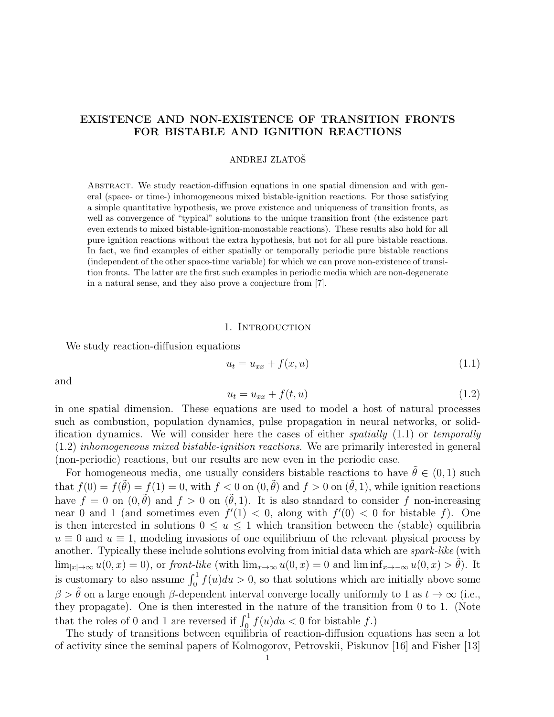# EXISTENCE AND NON-EXISTENCE OF TRANSITION FRONTS FOR BISTABLE AND IGNITION REACTIONS

# ANDREJ ZLATOSˇ

ABSTRACT. We study reaction-diffusion equations in one spatial dimension and with general (space- or time-) inhomogeneous mixed bistable-ignition reactions. For those satisfying a simple quantitative hypothesis, we prove existence and uniqueness of transition fronts, as well as convergence of "typical" solutions to the unique transition front (the existence part even extends to mixed bistable-ignition-monostable reactions). These results also hold for all pure ignition reactions without the extra hypothesis, but not for all pure bistable reactions. In fact, we find examples of either spatially or temporally periodic pure bistable reactions (independent of the other space-time variable) for which we can prove non-existence of transition fronts. The latter are the first such examples in periodic media which are non-degenerate in a natural sense, and they also prove a conjecture from [7].

#### 1. INTRODUCTION

We study reaction-diffusion equations

$$
u_t = u_{xx} + f(x, u) \tag{1.1}
$$

and

$$
u_t = u_{xx} + f(t, u) \tag{1.2}
$$

in one spatial dimension. These equations are used to model a host of natural processes such as combustion, population dynamics, pulse propagation in neural networks, or solidification dynamics. We will consider here the cases of either *spatially*  $(1.1)$  or *temporally* (1.2) inhomogeneous mixed bistable-ignition reactions. We are primarily interested in general (non-periodic) reactions, but our results are new even in the periodic case.

For homogeneous media, one usually considers bistable reactions to have  $\hat{\theta} \in (0, 1)$  such that  $f(0) = f(\tilde{\theta}) = f(1) = 0$ , with  $f < 0$  on  $(0, \tilde{\theta})$  and  $f > 0$  on  $(\tilde{\theta}, 1)$ , while ignition reactions have  $f = 0$  on  $(0, \tilde{\theta})$  and  $f > 0$  on  $(\tilde{\theta}, 1)$ . It is also standard to consider f non-increasing near 0 and 1 (and sometimes even  $f'(1) < 0$ , along with  $f'(0) < 0$  for bistable f). One is then interested in solutions  $0 \le u \le 1$  which transition between the (stable) equilibria  $u \equiv 0$  and  $u \equiv 1$ , modeling invasions of one equilibrium of the relevant physical process by another. Typically these include solutions evolving from initial data which are spark-like (with  $\lim_{|x|\to\infty}u(0, x) = 0$ , or front-like (with  $\lim_{x\to\infty}u(0, x) = 0$  and  $\liminf_{x\to-\infty}u(0, x) > \tilde{\theta}$ ). It is customary to also assume  $\int_0^1 f(u)du > 0$ , so that solutions which are initially above some  $\beta > \tilde{\theta}$  on a large enough β-dependent interval converge locally uniformly to 1 as  $t \to \infty$  (i.e., they propagate). One is then interested in the nature of the transition from 0 to 1. (Note that the roles of 0 and 1 are reversed if  $\int_0^1 f(u)du < 0$  for bistable f.)

The study of transitions between equilibria of reaction-diffusion equations has seen a lot of activity since the seminal papers of Kolmogorov, Petrovskii, Piskunov [16] and Fisher [13]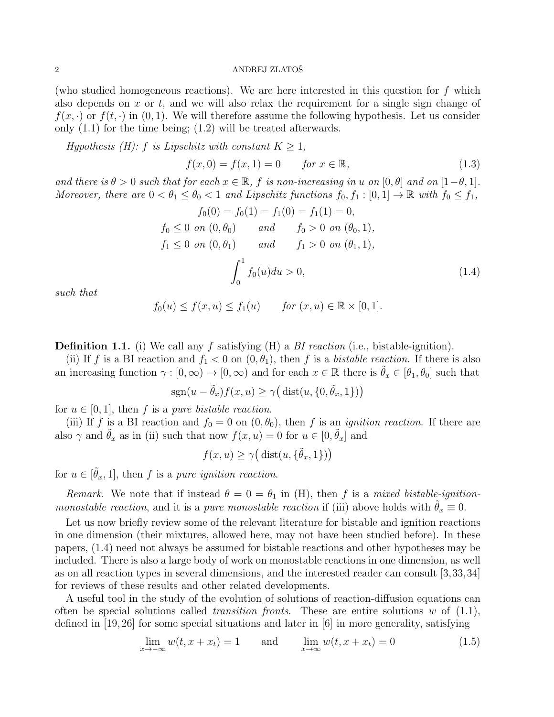(who studied homogeneous reactions). We are here interested in this question for  $f$  which also depends on  $x$  or  $t$ , and we will also relax the requirement for a single sign change of  $f(x, \cdot)$  or  $f(t, \cdot)$  in  $(0, 1)$ . We will therefore assume the following hypothesis. Let us consider only (1.1) for the time being; (1.2) will be treated afterwards.

Hypothesis (H): f is Lipschitz with constant  $K \geq 1$ ,

$$
f(x,0) = f(x,1) = 0 \tfor x \in \mathbb{R},
$$
\n(1.3)

and there is  $\theta > 0$  such that for each  $x \in \mathbb{R}$ , f is non-increasing in u on  $[0, \theta]$  and on  $[1-\theta, 1]$ . Moreover, there are  $0 < \theta_1 \leq \theta_0 < 1$  and Lipschitz functions  $f_0, f_1 : [0, 1] \to \mathbb{R}$  with  $f_0 \leq f_1$ ,

$$
f_0(0) = f_0(1) = f_1(0) = f_1(1) = 0,
$$
  
\n
$$
f_0 \le 0 \text{ on } (0, \theta_0) \quad \text{and} \quad f_0 > 0 \text{ on } (\theta_0, 1),
$$
  
\n
$$
f_1 \le 0 \text{ on } (0, \theta_1) \quad \text{and} \quad f_1 > 0 \text{ on } (\theta_1, 1),
$$
  
\n
$$
\int_0^1 f_0(u) du > 0,
$$
\n(1.4)

such that

$$
f_0(u) \le f(x, u) \le f_1(u) \qquad \text{for } (x, u) \in \mathbb{R} \times [0, 1].
$$

**Definition 1.1.** (i) We call any f satisfying  $(H)$  a BI reaction (i.e., bistable-ignition).

(ii) If f is a BI reaction and  $f_1 < 0$  on  $(0, \theta_1)$ , then f is a bistable reaction. If there is also an increasing function  $\gamma : [0, \infty) \to [0, \infty)$  and for each  $x \in \mathbb{R}$  there is  $\tilde{\theta}_x \in [\theta_1, \theta_0]$  such that

$$
sgn(u - \tilde{\theta}_x) f(x, u) \ge \gamma \big(\operatorname{dist}(u, \{0, \tilde{\theta}_x, 1\})\big)
$$

for  $u \in [0, 1]$ , then f is a pure bistable reaction.

(iii) If f is a BI reaction and  $f_0 = 0$  on  $(0, \theta_0)$ , then f is an *ignition reaction*. If there are also  $\gamma$  and  $\tilde{\theta}_x$  as in (ii) such that now  $f(x, u) = 0$  for  $u \in [0, \tilde{\theta}_x]$  and

$$
f(x, u) \ge \gamma\big(\operatorname{dist}(u, \{\tilde{\theta}_x, 1\})\big)
$$

for  $u \in [\tilde{\theta}_x, 1]$ , then f is a pure ignition reaction.

Remark. We note that if instead  $\theta = 0 = \theta_1$  in (H), then f is a mixed bistable-ignitionmonostable reaction, and it is a pure monostable reaction if (iii) above holds with  $\theta_x \equiv 0$ .

Let us now briefly review some of the relevant literature for bistable and ignition reactions in one dimension (their mixtures, allowed here, may not have been studied before). In these papers, (1.4) need not always be assumed for bistable reactions and other hypotheses may be included. There is also a large body of work on monostable reactions in one dimension, as well as on all reaction types in several dimensions, and the interested reader can consult [3,33,34] for reviews of these results and other related developments.

A useful tool in the study of the evolution of solutions of reaction-diffusion equations can often be special solutions called *transition fronts*. These are entire solutions w of  $(1.1)$ , defined in [19, 26] for some special situations and later in [6] in more generality, satisfying

$$
\lim_{x \to -\infty} w(t, x + x_t) = 1 \quad \text{and} \quad \lim_{x \to \infty} w(t, x + x_t) = 0 \tag{1.5}
$$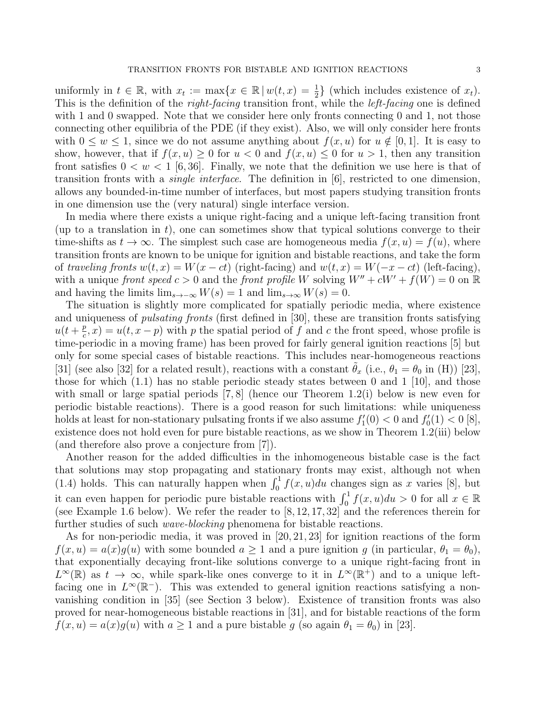uniformly in  $t \in \mathbb{R}$ , with  $x_t := \max\{x \in \mathbb{R} \mid w(t,x) = \frac{1}{2}\}\$  (which includes existence of  $x_t$ ). This is the definition of the *right-facing* transition front, while the *left-facing* one is defined with 1 and 0 swapped. Note that we consider here only fronts connecting 0 and 1, not those connecting other equilibria of the PDE (if they exist). Also, we will only consider here fronts with  $0 \leq w \leq 1$ , since we do not assume anything about  $f(x, u)$  for  $u \notin [0, 1]$ . It is easy to show, however, that if  $f(x, u) \geq 0$  for  $u < 0$  and  $f(x, u) \leq 0$  for  $u > 1$ , then any transition

front satisfies  $0 < w < 1$  [6,36]. Finally, we note that the definition we use here is that of transition fronts with a *single interface*. The definition in  $|6|$ , restricted to one dimension, allows any bounded-in-time number of interfaces, but most papers studying transition fronts in one dimension use the (very natural) single interface version.

In media where there exists a unique right-facing and a unique left-facing transition front (up to a translation in  $t$ ), one can sometimes show that typical solutions converge to their time-shifts as  $t \to \infty$ . The simplest such case are homogeneous media  $f(x, u) = f(u)$ , where transition fronts are known to be unique for ignition and bistable reactions, and take the form of traveling fronts  $w(t, x) = W(x - ct)$  (right-facing) and  $w(t, x) = W(-x - ct)$  (left-facing), with a unique front speed  $c > 0$  and the front profile W solving  $W'' + cW' + f(W) = 0$  on R and having the limits  $\lim_{s\to\infty} W(s) = 1$  and  $\lim_{s\to\infty} W(s) = 0$ .

The situation is slightly more complicated for spatially periodic media, where existence and uniqueness of *pulsating fronts* (first defined in [30], these are transition fronts satisfying  $u(t+\frac{p}{c})$  $(\frac{p}{c}, x) = u(t, x - p)$  with p the spatial period of f and c the front speed, whose profile is time-periodic in a moving frame) has been proved for fairly general ignition reactions [5] but only for some special cases of bistable reactions. This includes near-homogeneous reactions [31] (see also [32] for a related result), reactions with a constant  $\theta_x$  (i.e.,  $\theta_1 = \theta_0$  in (H)) [23], those for which  $(1.1)$  has no stable periodic steady states between 0 and 1 [10], and those with small or large spatial periods  $(7, 8)$  (hence our Theorem 1.2(i) below is new even for periodic bistable reactions). There is a good reason for such limitations: while uniqueness holds at least for non-stationary pulsating fronts if we also assume  $f_1'(0) < 0$  and  $f_0'(1) < 0$  [8], existence does not hold even for pure bistable reactions, as we show in Theorem 1.2(iii) below (and therefore also prove a conjecture from [7]).

Another reason for the added difficulties in the inhomogeneous bistable case is the fact that solutions may stop propagating and stationary fronts may exist, although not when (1.4) holds. This can naturally happen when  $\int_0^1 f(x, u)du$  changes sign as x varies [8], but it can even happen for periodic pure bistable reactions with  $\int_0^1 f(x, u) du > 0$  for all  $x \in \mathbb{R}$ (see Example 1.6 below). We refer the reader to  $[8, 12, 17, 32]$  and the references therein for further studies of such *wave-blocking* phenomena for bistable reactions.

As for non-periodic media, it was proved in [20, 21, 23] for ignition reactions of the form  $f(x, u) = a(x)g(u)$  with some bounded  $a \ge 1$  and a pure ignition g (in particular,  $\theta_1 = \theta_0$ ), that exponentially decaying front-like solutions converge to a unique right-facing front in  $L^{\infty}(\mathbb{R})$  as  $t \to \infty$ , while spark-like ones converge to it in  $L^{\infty}(\mathbb{R}^+)$  and to a unique leftfacing one in  $L^{\infty}(\mathbb{R}^{-})$ . This was extended to general ignition reactions satisfying a nonvanishing condition in [35] (see Section 3 below). Existence of transition fronts was also proved for near-homogeneous bistable reactions in [31], and for bistable reactions of the form  $f(x, u) = a(x)g(u)$  with  $a \ge 1$  and a pure bistable g (so again  $\theta_1 = \theta_0$ ) in [23].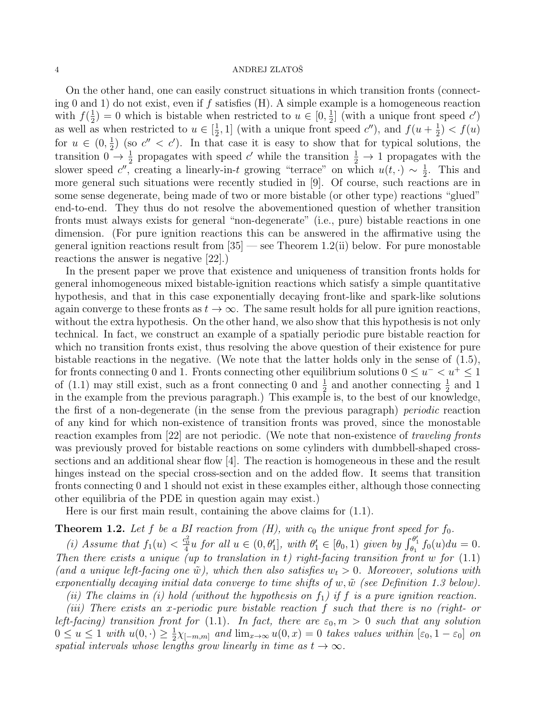On the other hand, one can easily construct situations in which transition fronts (connecting 0 and 1) do not exist, even if  $f$  satisfies (H). A simple example is a homogeneous reaction with  $f(\frac{1}{2})$  $(\frac{1}{2}) = 0$  which is bistable when restricted to  $u \in [0, \frac{1}{2})$  $\frac{1}{2}$  (with a unique front speed  $c'$ ) as well as when restricted to  $u \in \left[\frac{1}{2}\right]$  $(\frac{1}{2}, 1]$  (with a unique front speed c''), and  $f(u + \frac{1}{2})$  $(\frac{1}{2}) < f(u)$ for  $u \in (0, \frac{1}{2})$  $\frac{1}{2}$ ) (so  $c'' < c'$ ). In that case it is easy to show that for typical solutions, the transition  $0 \to \frac{1}{2}$  propagates with speed c' while the transition  $\frac{1}{2} \to 1$  propagates with the slower speed  $c''$ , creating a linearly-in-t growing "terrace" on which  $u(t, \cdot) \sim \frac{1}{2}$  $\frac{1}{2}$ . This and more general such situations were recently studied in [9]. Of course, such reactions are in some sense degenerate, being made of two or more bistable (or other type) reactions "glued" end-to-end. They thus do not resolve the abovementioned question of whether transition fronts must always exists for general "non-degenerate" (i.e., pure) bistable reactions in one dimension. (For pure ignition reactions this can be answered in the affirmative using the general ignition reactions result from  $[35]$  — see Theorem 1.2(ii) below. For pure monostable reactions the answer is negative [22].)

In the present paper we prove that existence and uniqueness of transition fronts holds for general inhomogeneous mixed bistable-ignition reactions which satisfy a simple quantitative hypothesis, and that in this case exponentially decaying front-like and spark-like solutions again converge to these fronts as  $t \to \infty$ . The same result holds for all pure ignition reactions, without the extra hypothesis. On the other hand, we also show that this hypothesis is not only technical. In fact, we construct an example of a spatially periodic pure bistable reaction for which no transition fronts exist, thus resolving the above question of their existence for pure bistable reactions in the negative. (We note that the latter holds only in the sense of  $(1.5)$ , for fronts connecting 0 and 1. Fronts connecting other equilibrium solutions  $0 \le u^ < u^+ \le 1$ of (1.1) may still exist, such as a front connecting 0 and  $\frac{1}{2}$  and another connecting  $\frac{1}{2}$  and 1 in the example from the previous paragraph.) This example is, to the best of our knowledge, the first of a non-degenerate (in the sense from the previous paragraph) periodic reaction of any kind for which non-existence of transition fronts was proved, since the monostable reaction examples from [22] are not periodic. (We note that non-existence of *traveling fronts* was previously proved for bistable reactions on some cylinders with dumbbell-shaped crosssections and an additional shear flow [4]. The reaction is homogeneous in these and the result hinges instead on the special cross-section and on the added flow. It seems that transition fronts connecting 0 and 1 should not exist in these examples either, although those connecting other equilibria of the PDE in question again may exist.)

Here is our first main result, containing the above claims for (1.1).

# **Theorem 1.2.** Let f be a BI reaction from  $(H)$ , with  $c_0$  the unique front speed for  $f_0$ .

(i) Assume that  $f_1(u) < \frac{c_0^2}{4}u$  for all  $u \in (0, \theta'_1]$ , with  $\theta'_1 \in [\theta_0, 1)$  given by  $\int_{\theta_1}^{\theta'_1} f_0(u) du = 0$ . Then there exists a unique (up to translation in t) right-facing transition front w for  $(1.1)$ (and a unique left-facing one  $\tilde{w}$ ), which then also satisfies  $w_t > 0$ . Moreover, solutions with exponentially decaying initial data converge to time shifts of  $w, \tilde{w}$  (see Definition 1.3 below).

(ii) The claims in (i) hold (without the hypothesis on  $f_1$ ) if f is a pure ignition reaction.

(iii) There exists an x-periodic pure bistable reaction f such that there is no (right- or left-facing) transition front for (1.1). In fact, there are  $\varepsilon_0$ ,  $m > 0$  such that any solution  $0 \le u \le 1$  with  $u(0, \cdot) \ge \frac{1}{2}$  $\frac{1}{2}\chi_{[-m,m]}$  and  $\lim_{x\to\infty}u(0,x)=0$  takes values within  $[\varepsilon_0,1-\varepsilon_0]$  on spatial intervals whose lengths grow linearly in time as  $t \to \infty$ .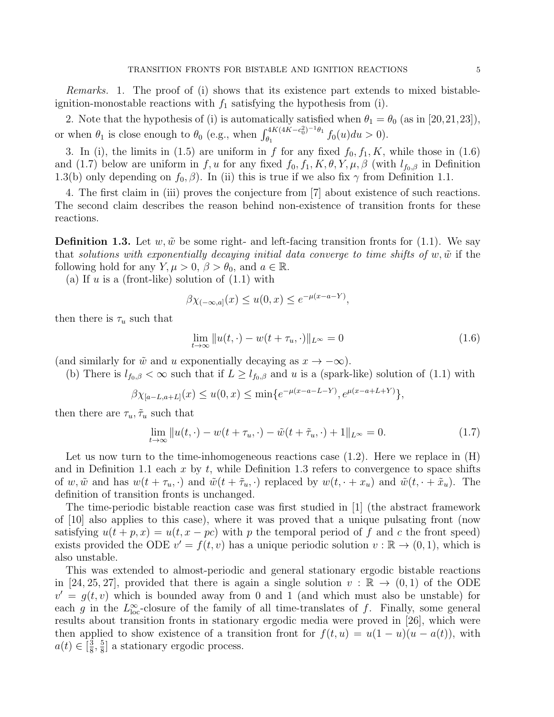Remarks. 1. The proof of (i) shows that its existence part extends to mixed bistableignition-monostable reactions with  $f_1$  satisfying the hypothesis from (i).

2. Note that the hypothesis of (i) is automatically satisfied when  $\theta_1 = \theta_0$  (as in [20,21,23]), or when  $\theta_1$  is close enough to  $\theta_0$  (e.g., when  $\int_{\theta_1}^{4K(4K-c_0^2)^{-1}\theta_1}$  $\frac{\partial^2 u}{\partial q_1}$   $\frac{\partial^2 u}{\partial q_2} f_0(u) du > 0$ .

3. In (i), the limits in (1.5) are uniform in f for any fixed  $f_0, f_1, K$ , while those in (1.6) and (1.7) below are uniform in f, u for any fixed  $f_0, f_1, K, \theta, Y, \mu, \beta$  (with  $l_{f_0,\beta}$  in Definition 1.3(b) only depending on  $f_0$ ,  $\beta$ ). In (ii) this is true if we also fix  $\gamma$  from Definition 1.1.

4. The first claim in (iii) proves the conjecture from [7] about existence of such reactions. The second claim describes the reason behind non-existence of transition fronts for these reactions.

**Definition 1.3.** Let w,  $\tilde{w}$  be some right- and left-facing transition fronts for (1.1). We say that solutions with exponentially decaying initial data converge to time shifts of w,  $\tilde{w}$  if the following hold for any  $Y, \mu > 0, \beta > \theta_0$ , and  $a \in \mathbb{R}$ .

(a) If  $u$  is a (front-like) solution of  $(1.1)$  with

$$
\beta \chi_{(-\infty, a]}(x) \le u(0, x) \le e^{-\mu(x - a - Y)},
$$

then there is  $\tau_u$  such that

$$
\lim_{t \to \infty} ||u(t, \cdot) - w(t + \tau_u, \cdot)||_{L^{\infty}} = 0 \tag{1.6}
$$

(and similarly for  $\tilde{w}$  and u exponentially decaying as  $x \to -\infty$ ).

(b) There is  $l_{f_0,\beta} < \infty$  such that if  $L \geq l_{f_0,\beta}$  and u is a (spark-like) solution of (1.1) with

$$
\beta \chi_{[a-L,a+L]}(x) \le u(0,x) \le \min\{e^{-\mu(x-a-L-Y)}, e^{\mu(x-a+L+Y)}\},\,
$$

then there are  $\tau_u, \tilde{\tau}_u$  such that

$$
\lim_{t \to \infty} ||u(t, \cdot) - w(t + \tau_u, \cdot) - \tilde{w}(t + \tilde{\tau}_u, \cdot) + 1||_{L^{\infty}} = 0.
$$
\n(1.7)

Let us now turn to the time-inhomogeneous reactions case  $(1.2)$ . Here we replace in  $(H)$ and in Definition 1.1 each x by t, while Definition 1.3 refers to convergence to space shifts of w,  $\tilde{w}$  and has  $w(t + \tau_u, \cdot)$  and  $\tilde{w}(t + \tilde{\tau}_u, \cdot)$  replaced by  $w(t, \cdot + x_u)$  and  $\tilde{w}(t, \cdot + \tilde{x}_u)$ . The definition of transition fronts is unchanged.

The time-periodic bistable reaction case was first studied in [1] (the abstract framework of [10] also applies to this case), where it was proved that a unique pulsating front (now satisfying  $u(t + p, x) = u(t, x - pc)$  with p the temporal period of f and c the front speed) exists provided the ODE  $v' = f(t, v)$  has a unique periodic solution  $v : \mathbb{R} \to (0, 1)$ , which is also unstable.

This was extended to almost-periodic and general stationary ergodic bistable reactions in [24, 25, 27], provided that there is again a single solution  $v : \mathbb{R} \to (0,1)$  of the ODE  $v' = g(t, v)$  which is bounded away from 0 and 1 (and which must also be unstable) for each g in the  $L^{\infty}_{loc}$ -closure of the family of all time-translates of f. Finally, some general results about transition fronts in stationary ergodic media were proved in [26], which were then applied to show existence of a transition front for  $f(t, u) = u(1 - u)(u - a(t))$ , with  $a(t) \in \left[\frac{3}{8}\right]$  $\frac{3}{8}, \frac{5}{8}$  $\frac{5}{8}$  a stationary ergodic process.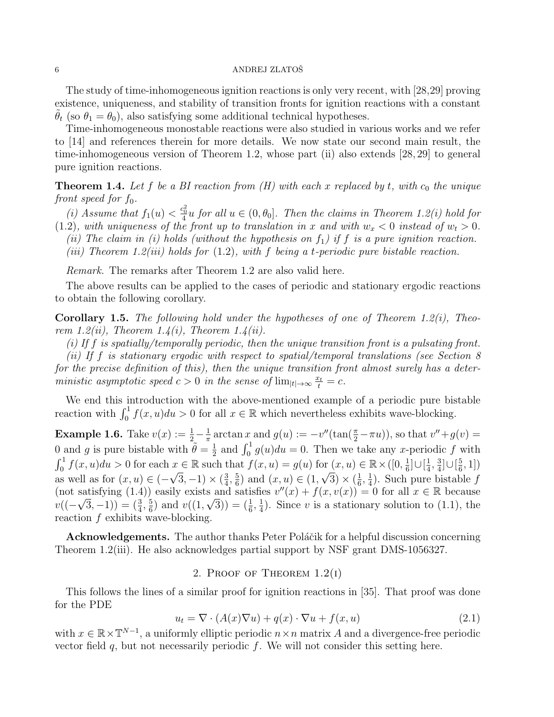The study of time-inhomogeneous ignition reactions is only very recent, with [28,29] proving existence, uniqueness, and stability of transition fronts for ignition reactions with a constant  $\theta_t$  (so  $\theta_1 = \theta_0$ ), also satisfying some additional technical hypotheses.

Time-inhomogeneous monostable reactions were also studied in various works and we refer to [14] and references therein for more details. We now state our second main result, the time-inhomogeneous version of Theorem 1.2, whose part (ii) also extends [28, 29] to general pure ignition reactions.

**Theorem 1.4.** Let f be a BI reaction from  $(H)$  with each x replaced by t, with  $c_0$  the unique front speed for  $f_0$ .

(i) Assume that  $f_1(u) < \frac{c_0^2}{4}u$  for all  $u \in (0, \theta_0]$ . Then the claims in Theorem 1.2(i) hold for (1.2), with uniqueness of the front up to translation in x and with  $w_x < 0$  instead of  $w_t > 0$ .

(ii) The claim in (i) holds (without the hypothesis on  $f_1$ ) if f is a pure ignition reaction.

(iii) Theorem 1.2(iii) holds for  $(1.2)$ , with f being a t-periodic pure bistable reaction.

Remark. The remarks after Theorem 1.2 are also valid here.

The above results can be applied to the cases of periodic and stationary ergodic reactions to obtain the following corollary.

**Corollary 1.5.** The following hold under the hypotheses of one of Theorem 1.2(i), Theorem 1.2(ii), Theorem 1.4(i), Theorem 1.4(ii).

(i) If f is spatially/temporally periodic, then the unique transition front is a pulsating front.

(ii) If f is stationary ergodic with respect to spatial/temporal translations (see Section 8 for the precise definition of this), then the unique transition front almost surely has a deterministic asymptotic speed  $c > 0$  in the sense of  $\lim_{|t| \to \infty} \frac{x_t}{t} = c$ .

We end this introduction with the above-mentioned example of a periodic pure bistable reaction with  $\int_0^1 f(x, u) du > 0$  for all  $x \in \mathbb{R}$  which nevertheless exhibits wave-blocking.

**Example 1.6.** Take  $v(x) := \frac{1}{2} - \frac{1}{\pi}$  $\frac{1}{\pi} \arctan x$  and  $g(u) := -v''(\tan(\frac{\pi}{2} - \pi u))$ , so that  $v'' + g(v) =$ 0 and g is pure bistable with  $\tilde{\theta} = \frac{1}{2}$  $\frac{1}{2}$  and  $\int_0^1 g(u)du = 0$ . Then we take any x-periodic f with  $\int_0^1 f(x, u) du > 0$  for each  $x \in \mathbb{R}$  such that  $f(x, u) = g(u)$  for  $(x, u) \in \mathbb{R} \times ([0, \frac{1}{6}$  $\frac{1}{6}$ ] $\cup$ [ $\frac{1}{4}$  $\frac{1}{4}$ ,  $\frac{3}{4}$  $\frac{3}{4}$ ]∪[ $\frac{5}{6}$  $x \in \mathbb{R}$  such that  $f(x, u) = g(u)$  for  $(x, u) \in \mathbb{R} \times ([0, \frac{1}{6}] \cup [\frac{1}{4}, \frac{3}{4}] \cup [\frac{5}{6}, 1])$ as well as for  $(x, u) \in (-\sqrt{3}, -1) \times (\frac{3}{4})$  $\frac{3}{4}, \frac{5}{6}$  $(\frac{5}{6})$  and  $(x, u) \in (1, \sqrt{3}) \times (\frac{1}{6})$  $\frac{1}{6}, \frac{1}{4}$  $(\frac{1}{4})$ . Such pure bistable f (not satisfying (1.4)) easily exists and satisfies  $v''(x) + f(x, v(x)) = 0$  for all  $x \in \mathbb{R}$  because  $v((-\sqrt{3},-1))=(\frac{3}{4},\frac{5}{6})$  $(\frac{5}{6})$  and  $v((1,\sqrt{3})) = (\frac{1}{6},\frac{1}{4})$  $\frac{1}{4}$ ). Since v is a stationary solution to (1.1), the reaction  $f$  exhibits wave-blocking.

Acknowledgements. The author thanks Peter Poláčik for a helpful discussion concerning Theorem 1.2(iii). He also acknowledges partial support by NSF grant DMS-1056327.

2. PROOF OF THEOREM  $1.2(i)$ 

This follows the lines of a similar proof for ignition reactions in [35]. That proof was done for the PDE

$$
u_t = \nabla \cdot (A(x)\nabla u) + q(x) \cdot \nabla u + f(x, u)
$$
\n(2.1)

with  $x \in \mathbb{R} \times \mathbb{T}^{N-1}$ , a uniformly elliptic periodic  $n \times n$  matrix A and a divergence-free periodic vector field  $q$ , but not necessarily periodic  $f$ . We will not consider this setting here.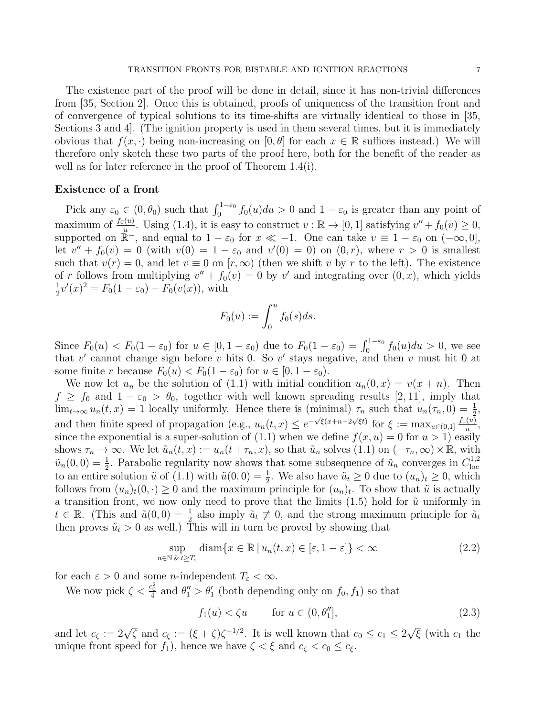The existence part of the proof will be done in detail, since it has non-trivial differences from [35, Section 2]. Once this is obtained, proofs of uniqueness of the transition front and of convergence of typical solutions to its time-shifts are virtually identical to those in [35, Sections 3 and 4]. (The ignition property is used in them several times, but it is immediately obvious that  $f(x, \cdot)$  being non-increasing on  $[0, \theta]$  for each  $x \in \mathbb{R}$  suffices instead.) We will therefore only sketch these two parts of the proof here, both for the benefit of the reader as well as for later reference in the proof of Theorem 1.4(i).

## Existence of a front

Pick any  $\varepsilon_0 \in (0, \theta_0)$  such that  $\int_0^{1-\varepsilon_0} f_0(u) du > 0$  and  $1-\varepsilon_0$  is greater than any point of maximum of  $\frac{f_0(u)}{u}$ . Using (1.4), it is easy to construct  $v : \mathbb{R} \to [0,1]$  satisfying  $v'' + f_0(v) \ge 0$ , supported on  $\mathbb{R}^-$ , and equal to  $1 - \varepsilon_0$  for  $x \ll -1$ . One can take  $v \equiv 1 - \varepsilon_0$  on  $(-\infty, 0]$ , let  $v'' + f_0(v) = 0$  (with  $v(0) = 1 - \varepsilon_0$  and  $v'(0) = 0$ ) on  $(0, r)$ , where  $r > 0$  is smallest such that  $v(r) = 0$ , and let  $v \equiv 0$  on  $[r, \infty)$  (then we shift v by r to the left). The existence of r follows from multiplying  $v'' + f_0(v) = 0$  by v' and integrating over  $(0, x)$ , which yields 1  $\frac{1}{2}v'(x)^2 = F_0(1 - \varepsilon_0) - F_0(v(x))$ , with

$$
F_0(u) := \int_0^u f_0(s)ds.
$$

Since  $F_0(u) < F_0(1 - \varepsilon_0)$  for  $u \in [0, 1 - \varepsilon_0)$  due to  $F_0(1 - \varepsilon_0) = \int_0^{1 - \varepsilon_0} f_0(u) du > 0$ , we see that v' cannot change sign before v hits 0. So v' stays negative, and then v must hit 0 at some finite r because  $F_0(u) < F_0(1 - \varepsilon_0)$  for  $u \in [0, 1 - \varepsilon_0)$ .

We now let  $u_n$  be the solution of (1.1) with initial condition  $u_n(0, x) = v(x + n)$ . Then  $f \ge f_0$  and  $1 - \varepsilon_0 > \theta_0$ , together with well known spreading results [2, 11], imply that  $\lim_{t\to\infty} u_n(t,x) = 1$  locally uniformly. Hence there is (minimal)  $\tau_n$  such that  $u_n(\tau_n,0) = \frac{1}{2}$ , and then finite speed of propagation (e.g.,  $u_n(t, x) \leq e^{-\sqrt{\xi}(x+n-2\sqrt{\xi}t)}$  for  $\xi := \max_{u \in (0,1]} \frac{f_1(u)}{u}$  $\frac{(u)}{u},$ since the exponential is a super-solution of (1.1) when we define  $f(x, u) = 0$  for  $u > 1$ ) easily shows  $\tau_n \to \infty$ . We let  $\tilde{u}_n(t, x) := u_n(t + \tau_n, x)$ , so that  $\tilde{u}_n$  solves  $(1.1)$  on  $(-\tau_n, \infty) \times \mathbb{R}$ , with  $\tilde{u}_n(0,0) = \frac{1}{2}$ . Parabolic regularity now shows that some subsequence of  $\tilde{u}_n$  converges in  $C_{loc}^{1,2}$ loc to an entire solution  $\tilde{u}$  of (1.1) with  $\tilde{u}(0,0) = \frac{1}{2}$ . We also have  $\tilde{u}_t \ge 0$  due to  $(u_n)_t \ge 0$ , which follows from  $(u_n)_t(0, \cdot) \geq 0$  and the maximum principle for  $(u_n)_t$ . To show that  $\tilde{u}$  is actually a transition front, we now only need to prove that the limits  $(1.5)$  hold for  $\tilde{u}$  uniformly in  $t \in \mathbb{R}$ . (This and  $\tilde{u}(0,0) = \frac{1}{2}$  also imply  $\tilde{u}_t \neq 0$ , and the strong maximum principle for  $\tilde{u}_t$ then proves  $\tilde{u}_t > 0$  as well.) This will in turn be proved by showing that

$$
\sup_{n \in \mathbb{N}} \text{diam}\{x \in \mathbb{R} \mid u_n(t, x) \in [\varepsilon, 1 - \varepsilon] \} < \infty \tag{2.2}
$$

for each  $\varepsilon > 0$  and some *n*-independent  $T_{\varepsilon} < \infty$ .

We now pick  $\zeta < \frac{c_0^2}{4}$  and  $\theta_1'' > \theta_1'$  (both depending only on  $f_0, f_1$ ) so that

$$
f_1(u) < \zeta u \qquad \text{for } u \in (0, \theta_1''], \tag{2.3}
$$

and let  $c_{\zeta} := 2\sqrt{\zeta}$  and  $c_{\xi} := (\xi + \zeta)\zeta^{-1/2}$ . It is well known that  $c_0 \le c_1 \le 2$ √  $\overline{\xi}$  (with  $c_1$  the unique front speed for  $f_1$ ), hence we have  $\zeta < \xi$  and  $c_{\zeta} < c_0 \leq c_{\xi}$ .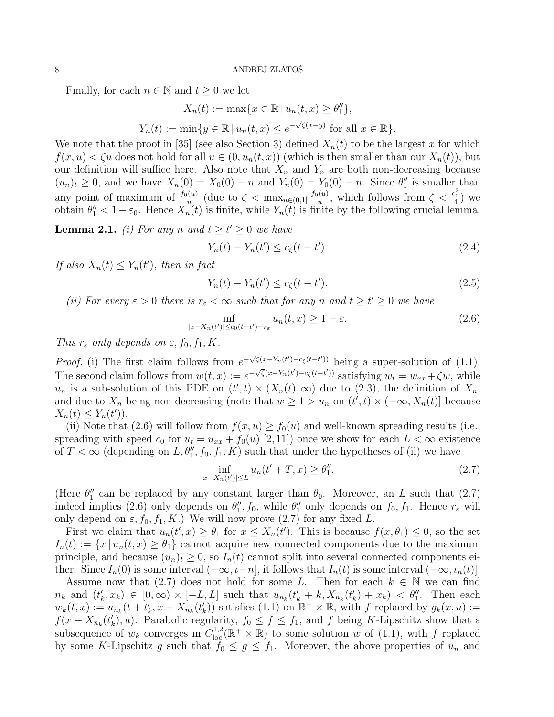Finally, for each  $n \in \mathbb{N}$  and  $t \geq 0$  we let

$$
X_n(t) := \max\{x \in \mathbb{R} \mid u_n(t, x) \ge \theta_1''\},
$$
  

$$
Y_n(t) := \min\{y \in \mathbb{R} \mid u_n(t, x) \le e^{-\sqrt{\zeta}(x-y)} \text{ for all } x \in \mathbb{R}\}.
$$

We note that the proof in [35] (see also Section 3) defined  $X_n(t)$  to be the largest x for which  $f(x, u) < \zeta u$  does not hold for all  $u \in (0, u_n(t, x))$  (which is then smaller than our  $X_n(t)$ ), but our definition will suffice here. Also note that  $X_n$  and  $Y_n$  are both non-decreasing because  $(u_n)_t \geq 0$ , and we have  $X_n(0) = X_0(0) - n$  and  $Y_n(0) = Y_0(0) - n$ . Since  $\theta_1''$  is smaller than any point of maximum of  $\frac{f_0(u)}{u}$  (due to  $\zeta < \max_{u \in (0,1]} \frac{f_0(u)}{u}$  $\frac{u}{u}$ , which follows from  $\zeta < \frac{c_0^2}{4}$  we obtain  $\theta''_1 < 1 - \varepsilon_0$ . Hence  $X_n(t)$  is finite, while  $Y_n(t)$  is finite by the following crucial lemma.

**Lemma 2.1.** (i) For any n and  $t \ge t' \ge 0$  we have

$$
Y_n(t) - Y_n(t') \le c_{\xi}(t - t').
$$
\n(2.4)

If also  $X_n(t) \leq Y_n(t')$ , then in fact

$$
Y_n(t) - Y_n(t') \le c_\zeta(t - t').
$$
\n(2.5)

(ii) For every  $\varepsilon > 0$  there is  $r_{\varepsilon} < \infty$  such that for any n and  $t \ge t' \ge 0$  we have

$$
\inf_{|x - X_n(t')| \le c_0(t - t') - r_\varepsilon} u_n(t, x) \ge 1 - \varepsilon. \tag{2.6}
$$

This  $r_{\varepsilon}$  only depends on  $\varepsilon$ ,  $f_0$ ,  $f_1$ ,  $K$ .

*Proof.* (i) The first claim follows from  $e^{-\sqrt{\zeta}(x-Y_n(t')-c_{\xi}(t-t'))}$  being a super-solution of (1.1). The second claim follows from  $w(t, x) := e^{-\sqrt{\zeta}(x - Y_n(t') - c_{\zeta}(t-t'))}$  satisfying  $w_t = w_{xx} + \zeta w$ , while  $u_n$  is a sub-solution of this PDE on  $(t',t) \times (X_n(t),\infty)$  due to (2.3), the definition of  $X_n$ , and due to  $X_n$  being non-decreasing (note that  $w \geq 1 > u_n$  on  $(t', t) \times (-\infty, X_n(t)]$  because  $X_n(t) \leq Y_n(t')$ .

(ii) Note that (2.6) will follow from  $f(x, u) \ge f_0(u)$  and well-known spreading results (i.e., spreading with speed  $c_0$  for  $u_t = u_{xx} + f_0(u)$  [2,11]) once we show for each  $L < \infty$  existence of  $T < \infty$  (depending on  $L, \theta_1'', f_0, f_1, K$ ) such that under the hypotheses of (ii) we have

$$
\inf_{|x - X_n(t')| \le L} u_n(t' + T, x) \ge \theta_1''.
$$
\n(2.7)

(Here  $\theta_1''$  can be replaced by any constant larger than  $\theta_0$ . Moreover, an L such that (2.7) indeed implies (2.6) only depends on  $\theta''_1$ ,  $f_0$ , while  $\theta''_1$  only depends on  $f_0$ ,  $f_1$ . Hence  $r_{\varepsilon}$  will only depend on  $\varepsilon$ ,  $f_0$ ,  $f_1$ ,  $K$ .) We will now prove (2.7) for any fixed L.

First we claim that  $u_n(t',x) \geq \theta_1$  for  $x \leq X_n(t')$ . This is because  $f(x,\theta_1) \leq 0$ , so the set  $I_n(t) := \{x \mid u_n(t,x) \geq \theta_1\}$  cannot acquire new connected components due to the maximum principle, and because  $(u_n)_t \geq 0$ , so  $I_n(t)$  cannot split into several connected components either. Since  $I_n(0)$  is some interval  $(-\infty, \iota - n]$ , it follows that  $I_n(t)$  is some interval  $(-\infty, \iota_n(t)]$ .

Assume now that (2.7) does not hold for some L. Then for each  $k \in \mathbb{N}$  we can find  $n_k$  and  $(t'_k, x_k) \in [0, \infty) \times [-L, L]$  such that  $u_{n_k}(t'_k + k, X_{n_k}(t'_k) + x_k) < \theta_1''$ . Then each  $w_k(t,x) := u_{n_k}(t+t'_k,x+X_{n_k}(t'_k))$  satisfies (1.1) on  $\mathbb{R}^+ \times \mathbb{R}$ , with f replaced by  $g_k(x,u) :=$  $f(x+X_{n_k}(t'_k),u)$ . Parabolic regularity,  $f_0 \le f \le f_1$ , and f being K-Lipschitz show that a subsequence of  $w_k$  converges in  $C^{1,2}_{loc}(\mathbb{R}^+\times\mathbb{R})$  to some solution  $\tilde{w}$  of (1.1), with f replaced by some K-Lipschitz g such that  $f_0 \leq g \leq f_1$ . Moreover, the above properties of  $u_n$  and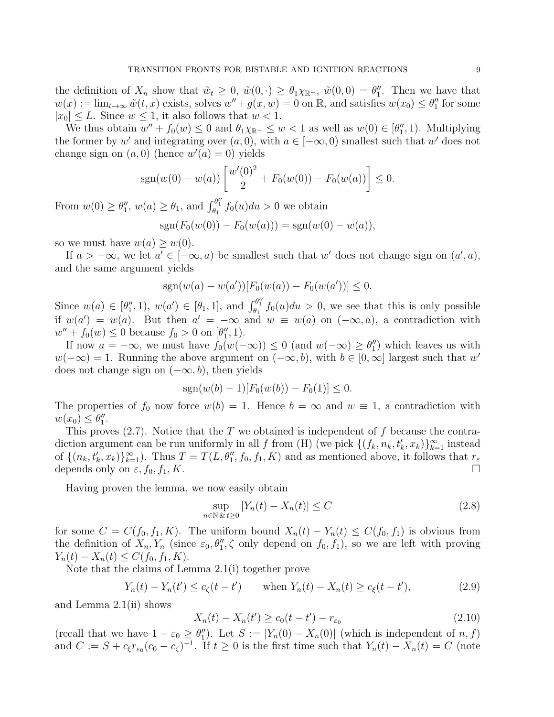the definition of  $X_n$  show that  $\tilde{w}_t \geq 0$ ,  $\tilde{w}(0, \cdot) \geq \theta_1 \chi_{\mathbb{R}^-}$ ,  $\tilde{w}(0, 0) = \theta_1''$ . Then we have that  $w(x) := \lim_{t \to \infty} \tilde{w}(t, x)$  exists, solves  $w'' + g(x, w) = 0$  on  $\mathbb{R}$ , and satisfies  $w(x_0) \le \theta_1''$  for some  $|x_0| \leq L$ . Since  $w \leq 1$ , it also follows that  $w < 1$ .

We thus obtain  $w'' + f_0(w) \leq 0$  and  $\theta_1 \chi_{\mathbb{R}^-} \leq w < 1$  as well as  $w(0) \in [\theta''_1, 1)$ . Multiplying the former by w' and integrating over  $(a, 0)$ , with  $a \in [-\infty, 0)$  smallest such that w' does not change sign on  $(a, 0)$  (hence  $w'(a) = 0$ ) yields

$$
sgn(w(0) - w(a)) \left[ \frac{w'(0)^2}{2} + F_0(w(0)) - F_0(w(a)) \right] \le 0.
$$

From  $w(0) \ge \theta_1''$ ,  $w(a) \ge \theta_1$ , and  $\int_{\theta_1}^{\theta_1''} f_0(u) du > 0$  we obtain  $sgn(F_0(w(0)) - F_0(w(a))) = sgn(w(0) - w(a)),$ 

so we must have  $w(a) \geq w(0)$ .

If  $a > -\infty$ , we let  $a' \in [-\infty, a)$  be smallest such that w' does not change sign on  $(a', a)$ , and the same argument yields

$$
sgn(w(a) - w(a'))[F_0(w(a)) - F_0(w(a'))] \leq 0.
$$

Since  $w(a) \in [\theta'_1, 1], w(a') \in [\theta_1, 1], \text{ and } \int_{\theta_1}^{\theta''_1} f_0(u) du > 0$ , we see that this is only possible if  $w(a') = w(a)$ . But then  $a' = -\infty$  and  $w \equiv w(a)$  on  $(-\infty, a)$ , a contradiction with  $w'' + f_0(w) \le 0$  because  $f_0 > 0$  on  $[\theta''_1, 1]$ .

If now  $a = -\infty$ , we must have  $f_0(w(-\infty)) \leq 0$  (and  $w(-\infty) \geq \theta_1''$ ) which leaves us with  $w(-\infty) = 1$ . Running the above argument on  $(-\infty, b)$ , with  $b \in [0, \infty]$  largest such that w' does not change sign on  $(-\infty, b)$ , then yields

$$
sgn(w(b) - 1)[F_0(w(b)) - F_0(1)] \le 0.
$$

The properties of  $f_0$  now force  $w(b) = 1$ . Hence  $b = \infty$  and  $w \equiv 1$ , a contradiction with  $w(x_0) \leq \theta_1''$ .

This proves  $(2.7)$ . Notice that the T we obtained is independent of f because the contradiction argument can be run uniformly in all f from (H) (we pick  $\{(f_k, n_k, t'_k, x_k)\}_{k=1}^{\infty}$  instead of  $\{(n_k, t'_k, x_k)\}_{k=1}^{\infty}$ . Thus  $T = T(L, \theta''_1, f_0, f_1, K)$  and as mentioned above, it follows that  $r_{\varepsilon}$ depends only on  $\varepsilon$ ,  $f_0$ ,  $f_1$ ,  $K$ .

Having proven the lemma, we now easily obtain

$$
\sup_{n \in \mathbb{N}} |Y_n(t) - X_n(t)| \le C \tag{2.8}
$$

for some  $C = C(f_0, f_1, K)$ . The uniform bound  $X_n(t) - Y_n(t) \leq C(f_0, f_1)$  is obvious from the definition of  $X_n, Y_n$  (since  $\varepsilon_0, \theta_1'', \zeta$  only depend on  $f_0, f_1$ ), so we are left with proving  $Y_n(t) - X_n(t) \leq C(f_0, f_1, K).$ 

Note that the claims of Lemma 2.1(i) together prove

$$
Y_n(t) - Y_n(t') \le c_{\zeta}(t - t') \quad \text{when } Y_n(t) - X_n(t) \ge c_{\xi}(t - t'), \tag{2.9}
$$

and Lemma 2.1(ii) shows

$$
X_n(t) - X_n(t') \ge c_0(t - t') - r_{\varepsilon_0}
$$
\n(2.10)

(recall that we have  $1 - \varepsilon_0 \ge \theta_1''$ ). Let  $S := |Y_n(0) - X_n(0)|$  (which is independent of  $n, f$ ) and  $C := S + c_{\xi} r_{\epsilon_0} (c_0 - c_{\zeta})^{-1}$ . If  $t \ge 0$  is the first time such that  $Y_n(t) - X_n(t) = C$  (note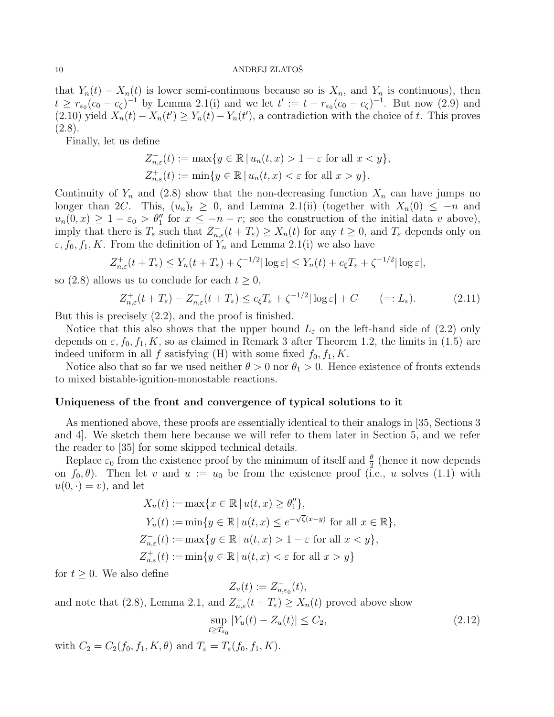that  $Y_n(t) - X_n(t)$  is lower semi-continuous because so is  $X_n$ , and  $Y_n$  is continuous), then  $t \geq r_{\varepsilon_0}(c_0 - c_{\zeta})^{-1}$  by Lemma 2.1(i) and we let  $t' := t - r_{\varepsilon_0}(c_0 - c_{\zeta})^{-1}$ . But now (2.9) and (2.10) yield  $X_n(t) - X_n(t') \ge Y_n(t) - Y_n(t')$ , a contradiction with the choice of t. This proves  $(2.8).$ 

Finally, let us define

$$
Z_{n,\varepsilon}^{-}(t) := \max\{y \in \mathbb{R} \mid u_n(t,x) > 1 - \varepsilon \text{ for all } x < y\},\
$$
  

$$
Z_{n,\varepsilon}^{+}(t) := \min\{y \in \mathbb{R} \mid u_n(t,x) < \varepsilon \text{ for all } x > y\}.
$$

Continuity of  $Y_n$  and (2.8) show that the non-decreasing function  $X_n$  can have jumps no longer than 2C. This,  $(u_n)_t \geq 0$ , and Lemma 2.1(ii) (together with  $X_n(0) \leq -n$  and  $u_n(0,x) \geq 1 - \varepsilon_0 > \theta_1''$  for  $x \leq -n - r$ ; see the construction of the initial data v above), imply that there is  $T_{\varepsilon}$  such that  $Z_{n,\varepsilon}^-(t+T_{\varepsilon}) \geq X_n(t)$  for any  $t \geq 0$ , and  $T_{\varepsilon}$  depends only on  $\varepsilon, f_0, f_1, K$ . From the definition of  $Y_n$  and Lemma 2.1(i) we also have

$$
Z_{n,\varepsilon}^+(t+T_\varepsilon) \le Y_n(t+T_\varepsilon) + \zeta^{-1/2} |\log \varepsilon| \le Y_n(t) + c_\xi T_\varepsilon + \zeta^{-1/2} |\log \varepsilon|,
$$

so (2.8) allows us to conclude for each  $t \geq 0$ ,

$$
Z_{n,\varepsilon}^+(t+T_\varepsilon) - Z_{n,\varepsilon}^-(t+T_\varepsilon) \le c_\xi T_\varepsilon + \zeta^{-1/2} |\log \varepsilon| + C \qquad (=L_\varepsilon). \tag{2.11}
$$

But this is precisely (2.2), and the proof is finished.

Notice that this also shows that the upper bound  $L_{\varepsilon}$  on the left-hand side of (2.2) only depends on  $\varepsilon$ ,  $f_0$ ,  $f_1$ ,  $K$ , so as claimed in Remark 3 after Theorem 1.2, the limits in (1.5) are indeed uniform in all f satisfying (H) with some fixed  $f_0, f_1, K$ .

Notice also that so far we used neither  $\theta > 0$  nor  $\theta_1 > 0$ . Hence existence of fronts extends to mixed bistable-ignition-monostable reactions.

# Uniqueness of the front and convergence of typical solutions to it

As mentioned above, these proofs are essentially identical to their analogs in [35, Sections 3 and 4]. We sketch them here because we will refer to them later in Section 5, and we refer the reader to [35] for some skipped technical details.

Replace  $\varepsilon_0$  from the existence proof by the minimum of itself and  $\frac{\theta}{2}$  (hence it now depends on  $f_0$ ,  $\theta$ ). Then let v and  $u := u_0$  be from the existence proof (i.e., u solves (1.1) with  $u(0, \cdot) = v$ , and let

$$
X_u(t) := \max\{x \in \mathbb{R} \mid u(t,x) \ge \theta_1''\},
$$
  
\n
$$
Y_u(t) := \min\{y \in \mathbb{R} \mid u(t,x) \le e^{-\sqrt{\zeta}(x-y)} \text{ for all } x \in \mathbb{R}\},
$$
  
\n
$$
Z_{u,\varepsilon}^-(t) := \max\{y \in \mathbb{R} \mid u(t,x) > 1 - \varepsilon \text{ for all } x < y\},
$$
  
\n
$$
Z_{u,\varepsilon}^+(t) := \min\{y \in \mathbb{R} \mid u(t,x) < \varepsilon \text{ for all } x > y\}
$$

for  $t \geq 0$ . We also define

$$
Z_u(t) := Z_{u,\varepsilon_0}^-(t),
$$

and note that (2.8), Lemma 2.1, and  $Z_{n,\varepsilon}^{-}(t+T_{\varepsilon}) \geq X_n(t)$  proved above show

$$
\sup_{t \ge T_{\varepsilon_0}} |Y_u(t) - Z_u(t)| \le C_2,
$$
\n(2.12)

with  $C_2 = C_2(f_0, f_1, K, \theta)$  and  $T_{\varepsilon} = T_{\varepsilon}(f_0, f_1, K)$ .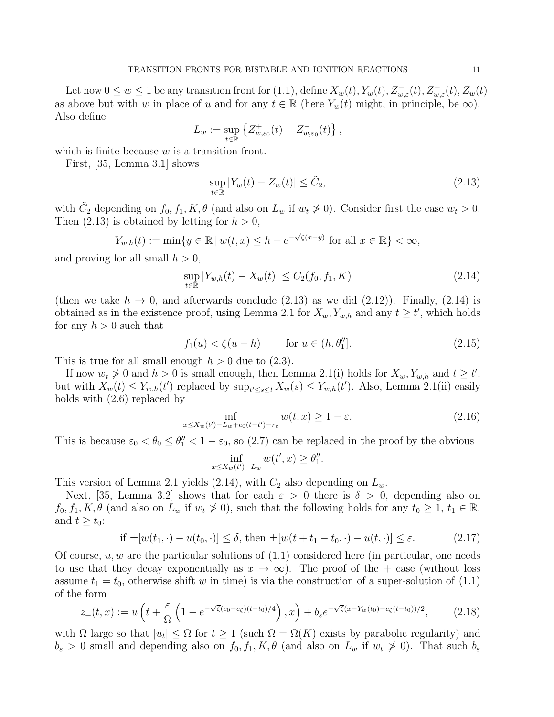Let now  $0 \leq w \leq 1$  be any transition front for  $(1.1)$ , define  $X_w(t)$ ,  $Y_w(t)$ ,  $Z_{w,\varepsilon}^-(t)$ ,  $Z_{w,\varepsilon}^+(t)$ ,  $Z_w(t)$ as above but with w in place of u and for any  $t \in \mathbb{R}$  (here  $Y_w(t)$  might, in principle, be  $\infty$ ). Also define

$$
L_w := \sup_{t \in \mathbb{R}} \left\{ Z_{w,\varepsilon_0}^+(t) - Z_{w,\varepsilon_0}^-(t) \right\},\,
$$

which is finite because  $w$  is a transition front.

First, [35, Lemma 3.1] shows

$$
\sup_{t \in \mathbb{R}} |Y_w(t) - Z_w(t)| \le \tilde{C}_2,\tag{2.13}
$$

with  $\tilde{C}_2$  depending on  $f_0, f_1, K, \theta$  (and also on  $L_w$  if  $w_t \neq 0$ ). Consider first the case  $w_t > 0$ . Then  $(2.13)$  is obtained by letting for  $h > 0$ ,

$$
Y_{w,h}(t) := \min\{y \in \mathbb{R} \mid w(t,x) \le h + e^{-\sqrt{\zeta}(x-y)} \text{ for all } x \in \mathbb{R}\} < \infty,
$$

and proving for all small  $h > 0$ ,

$$
\sup_{t \in \mathbb{R}} |Y_{w,h}(t) - X_w(t)| \le C_2(f_0, f_1, K)
$$
\n(2.14)

(then we take  $h \to 0$ , and afterwards conclude (2.13) as we did (2.12)). Finally, (2.14) is obtained as in the existence proof, using Lemma 2.1 for  $X_w, Y_{w,h}$  and any  $t \ge t'$ , which holds for any  $h > 0$  such that

$$
f_1(u) < \zeta(u - h) \qquad \text{for } u \in (h, \theta_1''] \tag{2.15}
$$

This is true for all small enough  $h > 0$  due to  $(2.3)$ .

If now  $w_t \ngeq 0$  and  $h > 0$  is small enough, then Lemma 2.1(i) holds for  $X_w, Y_{w,h}$  and  $t \geq t'$ , but with  $X_w(t) \le Y_{w,h}(t')$  replaced by  $\sup_{t' \le s \le t} X_w(s) \le Y_{w,h}(t')$ . Also, Lemma 2.1(ii) easily holds with (2.6) replaced by

$$
\inf_{x \le X_w(t') - L_w + c_0(t - t') - r_\varepsilon} w(t, x) \ge 1 - \varepsilon. \tag{2.16}
$$

This is because  $\varepsilon_0 < \theta_0 \leq \theta''_1 < 1 - \varepsilon_0$ , so (2.7) can be replaced in the proof by the obvious

$$
\inf_{x \le X_w(t') - L_w} w(t', x) \ge \theta_1''.
$$

This version of Lemma 2.1 yields (2.14), with  $C_2$  also depending on  $L_w$ .

Next, [35, Lemma 3.2] shows that for each  $\varepsilon > 0$  there is  $\delta > 0$ , depending also on  $f_0, f_1, K, \theta$  (and also on  $L_w$  if  $w_t \ngeq 0$ ), such that the following holds for any  $t_0 \geq 1$ ,  $t_1 \in \mathbb{R}$ , and  $t \geq t_0$ :

if 
$$
\pm[w(t_1, \cdot) - u(t_0, \cdot)] \le \delta
$$
, then  $\pm[w(t + t_1 - t_0, \cdot) - u(t, \cdot)] \le \varepsilon$ . (2.17)

Of course,  $u, w$  are the particular solutions of  $(1.1)$  considered here (in particular, one needs to use that they decay exponentially as  $x \to \infty$ ). The proof of the + case (without loss assume  $t_1 = t_0$ , otherwise shift w in time) is via the construction of a super-solution of (1.1) of the form

$$
z_{+}(t,x) := u\left(t + \frac{\varepsilon}{\Omega}\left(1 - e^{-\sqrt{\zeta}(c_0 - c_{\zeta})(t - t_0)/4}\right), x\right) + b_{\varepsilon}e^{-\sqrt{\zeta}(x - Y_w(t_0) - c_{\zeta}(t - t_0))/2}, \tag{2.18}
$$

with  $\Omega$  large so that  $|u_t| \leq \Omega$  for  $t \geq 1$  (such  $\Omega = \Omega(K)$  exists by parabolic regularity) and  $b_{\varepsilon} > 0$  small and depending also on  $f_0, f_1, K, \theta$  (and also on  $L_w$  if  $w_t \ngeq 0$ ). That such  $b_{\varepsilon}$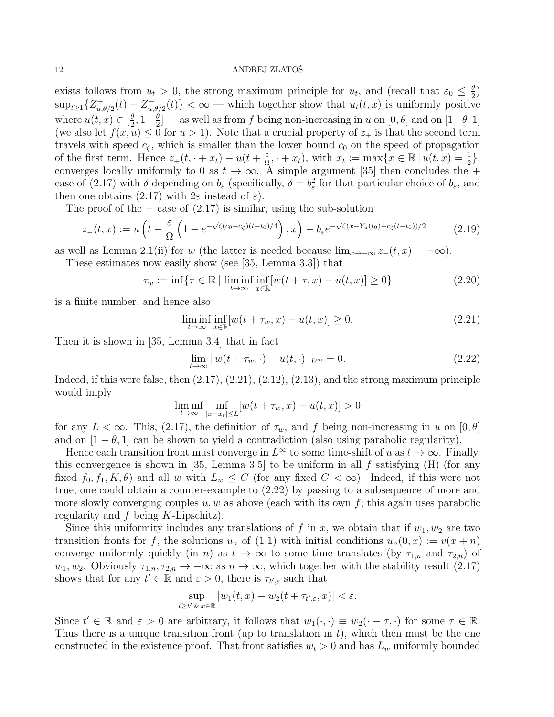exists follows from  $u_t > 0$ , the strong maximum principle for  $u_t$ , and (recall that  $\varepsilon_0 \leq \frac{\theta}{2}$  $\frac{\theta}{2})$  $\sup_{t\geq 1}\{Z_{u}^+$  $u^+_{u,\theta/2}(t) - Z^-_{u,\theta}$  $\{u_{u,\theta/2}(t)\} < \infty$  — which together show that  $u_t(t,x)$  is uniformly positive where  $u(t, x) \in \left[\frac{\theta}{2}\right]$  $\frac{\theta}{2}, 1-\frac{\theta}{2}$  $\frac{\theta}{2}$  — as well as from f being non-increasing in u on  $[0, \theta]$  and on  $[1-\theta, 1]$ (we also let  $f(x, u) \leq 0$  for  $u > 1$ ). Note that a crucial property of  $z_+$  is that the second term travels with speed  $c_{\zeta}$ , which is smaller than the lower bound  $c_0$  on the speed of propagation of the first term. Hence  $z_+(t, \cdot + x_t) - u(t + \frac{\varepsilon}{\Omega})$  $\frac{\varepsilon}{\Omega}$ ,  $+ x_t$ , with  $x_t := \max\{x \in \mathbb{R} \mid u(t,x) = \frac{1}{2}\},\$ converges locally uniformly to 0 as  $t \to \infty$ . A simple argument [35] then concludes the + case of (2.17) with  $\delta$  depending on  $b_{\varepsilon}$  (specifically,  $\delta = b_{\varepsilon}^2$  for that particular choice of  $b_{\varepsilon}$ , and then one obtains (2.17) with  $2\varepsilon$  instead of  $\varepsilon$ ).

The proof of the  $-$  case of  $(2.17)$  is similar, using the sub-solution

$$
z_{-}(t,x) := u\left(t - \frac{\varepsilon}{\Omega}\left(1 - e^{-\sqrt{\zeta}(c_0 - c_{\zeta})(t - t_0)/4}\right), x\right) - b_{\varepsilon}e^{-\sqrt{\zeta}(x - Y_u(t_0) - c_{\zeta}(t - t_0))/2}
$$
(2.19)

as well as Lemma 2.1(ii) for w (the latter is needed because  $\lim_{x\to -\infty} z_-(t, x) = -\infty$ ).

These estimates now easily show (see [35, Lemma 3.3]) that

$$
\tau_w := \inf \{ \tau \in \mathbb{R} \mid \liminf_{t \to \infty} \inf_{x \in \mathbb{R}} [w(t + \tau, x) - u(t, x)] \ge 0 \}
$$
\n(2.20)

is a finite number, and hence also

$$
\liminf_{t \to \infty} \inf_{x \in \mathbb{R}} [w(t + \tau_w, x) - u(t, x)] \ge 0.
$$
\n(2.21)

Then it is shown in [35, Lemma 3.4] that in fact

$$
\lim_{t \to \infty} ||w(t + \tau_w, \cdot) - u(t, \cdot)||_{L^{\infty}} = 0.
$$
\n(2.22)

Indeed, if this were false, then  $(2.17)$ ,  $(2.21)$ ,  $(2.12)$ ,  $(2.13)$ , and the strong maximum principle would imply

$$
\liminf_{t\to\infty}\inf_{|x-x_t|\le L}[w(t+\tau_w,x)-u(t,x)]>0
$$

for any  $L < \infty$ . This, (2.17), the definition of  $\tau_w$ , and f being non-increasing in u on  $[0, \theta]$ and on  $[1 - \theta, 1]$  can be shown to yield a contradiction (also using parabolic regularity).

Hence each transition front must converge in  $L^{\infty}$  to some time-shift of u as  $t \to \infty$ . Finally, this convergence is shown in [35, Lemma 3.5] to be uniform in all  $f$  satisfying  $(H)$  (for any fixed  $f_0, f_1, K, \theta$  and all w with  $L_w \leq C$  (for any fixed  $C < \infty$ ). Indeed, if this were not true, one could obtain a counter-example to (2.22) by passing to a subsequence of more and more slowly converging couples  $u, w$  as above (each with its own f; this again uses parabolic regularity and  $f$  being  $K$ -Lipschitz).

Since this uniformity includes any translations of f in x, we obtain that if  $w_1, w_2$  are two transition fronts for f, the solutions  $u_n$  of (1.1) with initial conditions  $u_n(0, x) := v(x + n)$ converge uniformly quickly (in n) as  $t \to \infty$  to some time translates (by  $\tau_{1,n}$  and  $\tau_{2,n}$ ) of  $w_1, w_2$ . Obviously  $\tau_{1,n}, \tau_{2,n} \to -\infty$  as  $n \to \infty$ , which together with the stability result (2.17) shows that for any  $t' \in \mathbb{R}$  and  $\varepsilon > 0$ , there is  $\tau_{t',\varepsilon}$  such that

$$
\sup_{t\geq t'}\sup_{x\in\mathbb{R}}|w_1(t,x)-w_2(t+\tau_{t',\varepsilon},x)|<\varepsilon.
$$

Since  $t' \in \mathbb{R}$  and  $\varepsilon > 0$  are arbitrary, it follows that  $w_1(\cdot, \cdot) \equiv w_2(\cdot - \tau, \cdot)$  for some  $\tau \in \mathbb{R}$ . Thus there is a unique transition front (up to translation in  $t$ ), which then must be the one constructed in the existence proof. That front satisfies  $w_t > 0$  and has  $L_w$  uniformly bounded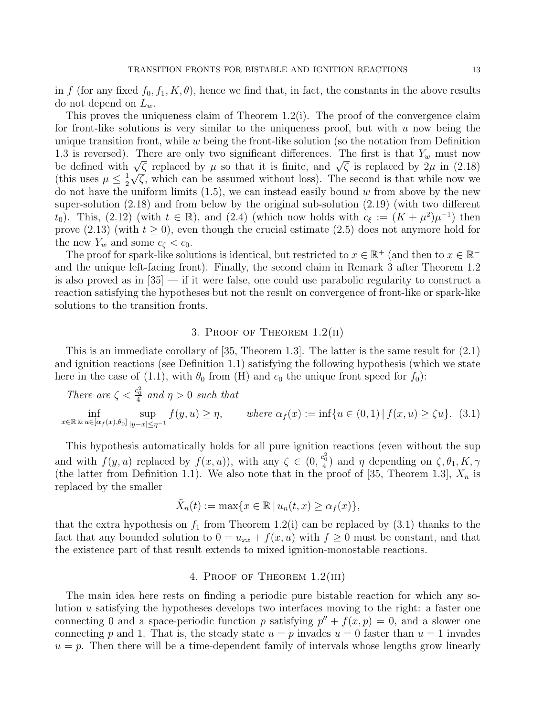in f (for any fixed  $f_0, f_1, K, \theta$ ), hence we find that, in fact, the constants in the above results do not depend on  $L_w$ .

This proves the uniqueness claim of Theorem  $1.2(i)$ . The proof of the convergence claim for front-like solutions is very similar to the uniqueness proof, but with  $u$  now being the unique transition front, while  $w$  being the front-like solution (so the notation from Definition 1.3 is reversed). There are only two significant differences. The first is that  $Y_w$  must now 1.5 is reversed). There are only two significant differences. The first is that  $Y_w$  must now<br>be defined with  $\sqrt{\zeta}$  replaced by  $\mu$  so that it is finite, and  $\sqrt{\zeta}$  is replaced by  $2\mu$  in (2.18) (this uses  $\mu \leq \frac{1}{2}$ )  $\frac{1}{2}\sqrt{\zeta}$ , which can be assumed without loss). The second is that while now we do not have the uniform limits  $(1.5)$ , we can instead easily bound w from above by the new super-solution (2.18) and from below by the original sub-solution (2.19) (with two different  $(t_0)$ . This,  $(2.12)$  (with  $t \in \mathbb{R}$ ), and  $(2.4)$  (which now holds with  $c_{\xi} := (K + \mu^2)\mu^{-1}$ ) then prove (2.13) (with  $t \ge 0$ ), even though the crucial estimate (2.5) does not anymore hold for the new  $Y_w$  and some  $c_{\zeta} < c_0$ .

The proof for spark-like solutions is identical, but restricted to  $x \in \mathbb{R}^+$  (and then to  $x \in \mathbb{R}^$ and the unique left-facing front). Finally, the second claim in Remark 3 after Theorem 1.2 is also proved as in [35] — if it were false, one could use parabolic regularity to construct a reaction satisfying the hypotheses but not the result on convergence of front-like or spark-like solutions to the transition fronts.

## 3. PROOF OF THEOREM  $1.2($ II)

This is an immediate corollary of [35, Theorem 1.3]. The latter is the same result for (2.1) and ignition reactions (see Definition 1.1) satisfying the following hypothesis (which we state here in the case of (1.1), with  $\theta_0$  from (H) and  $c_0$  the unique front speed for  $f_0$ ):

There are  $\zeta < \frac{c_0^2}{4}$  and  $\eta > 0$  such that

inf  $x \in \mathbb{R} \& u \in [\alpha_f(x), \theta_0]$ sup  $|y-x|\leq \eta^{-1}$  $f(y, u) \ge \eta$ , where  $\alpha_f(x) := \inf\{u \in (0, 1) | f(x, u) \ge \zeta u\}$ . (3.1)

This hypothesis automatically holds for all pure ignition reactions (even without the sup and with  $f(y, u)$  replaced by  $f(x, u)$ , with any  $\zeta \in (0, \frac{c_0^2}{4})$  and  $\eta$  depending on  $\zeta, \theta_1, K, \gamma$ (the latter from Definition 1.1). We also note that in the proof of [35, Theorem 1.3],  $X_n$  is replaced by the smaller

$$
\tilde{X}_n(t) := \max\{x \in \mathbb{R} \mid u_n(t,x) \ge \alpha_f(x)\},\
$$

that the extra hypothesis on  $f_1$  from Theorem 1.2(i) can be replaced by (3.1) thanks to the fact that any bounded solution to  $0 = u_{xx} + f(x, u)$  with  $f \ge 0$  must be constant, and that the existence part of that result extends to mixed ignition-monostable reactions.

### 4. Proof of Theorem 1.2(iii)

The main idea here rests on finding a periodic pure bistable reaction for which any solution u satisfying the hypotheses develops two interfaces moving to the right: a faster one connecting 0 and a space-periodic function p satisfying  $p'' + f(x, p) = 0$ , and a slower one connecting p and 1. That is, the steady state  $u = p$  invades  $u = 0$  faster than  $u = 1$  invades  $u = p$ . Then there will be a time-dependent family of intervals whose lengths grow linearly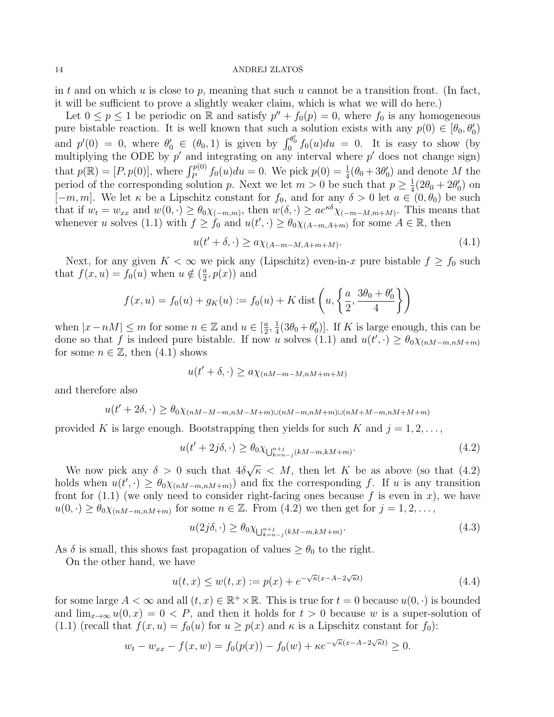in t and on which u is close to p, meaning that such u cannot be a transition front. (In fact, it will be sufficient to prove a slightly weaker claim, which is what we will do here.)

Let  $0 \le p \le 1$  be periodic on  $\mathbb R$  and satisfy  $p'' + f_0(p) = 0$ , where  $f_0$  is any homogeneous pure bistable reaction. It is well known that such a solution exists with any  $p(0) \in [\theta_0, \theta'_0]$ and  $p'(0) = 0$ , where  $\theta'_0 \in (\theta_0, 1)$  is given by  $\int_0^{\theta'_0} f_0(u) du = 0$ . It is easy to show (by multiplying the ODE by  $p'$  and integrating on any interval where  $p'$  does not change sign) that  $p(\mathbb{R}) = [P, p(0)],$  where  $\int_{P}^{p(0)} f_0(u) du = 0$ . We pick  $p(0) = \frac{1}{4}(\theta_0 + 3\theta'_0)$  and denote M the period of the corresponding solution p. Next we let  $m > 0$  be such that  $p \geq \frac{1}{4}$  $\frac{1}{4}(2\theta_0+2\theta'_0)$  on  $[-m, m]$ . We let  $\kappa$  be a Lipschitz constant for  $f_0$ , and for any  $\delta > 0$  let  $a \in (0, \theta_0)$  be such that if  $w_t = w_{xx}$  and  $w(0, \cdot) \geq \theta_0 \chi_{(-m,m)},$  then  $w(\delta, \cdot) \geq a e^{\kappa \delta} \chi_{(-m-M,m+M)}$ . This means that whenever u solves (1.1) with  $f \ge f_0$  and  $u(t', \cdot) \ge \theta_0 \chi_{(A-m,A+m)}$  for some  $A \in \mathbb{R}$ , then

$$
u(t' + \delta, \cdot) \ge a\chi_{(A-m-M,A+m+M)}.\tag{4.1}
$$

Next, for any given  $K < \infty$  we pick any (Lipschitz) even-in-x pure bistable  $f \ge f_0$  such that  $f(x, u) = f_0(u)$  when  $u \notin \left(\frac{a}{2}\right)$  $\frac{a}{2}, p(x)$  and

$$
f(x, u) = f_0(u) + g_K(u) := f_0(u) + K \text{ dist}\left(u, \left\{\frac{a}{2}, \frac{3\theta_0 + \theta'_0}{4}\right\}\right)
$$

when  $|x-nM| \leq m$  for some  $n \in \mathbb{Z}$  and  $u \in \left[\frac{a}{2}\right]$  $\frac{a}{2}, \frac{1}{4}$  $\frac{1}{4}(3\theta_0+\theta'_0)$ . If K is large enough, this can be done so that f is indeed pure bistable. If now u solves (1.1) and  $u(t', \cdot) \geq \theta_0 \chi_{(nM-m,nM+m)}$ for some  $n \in \mathbb{Z}$ , then  $(4.1)$  shows

$$
u(t' + \delta, \cdot) \ge a\chi_{(nM-m-M,nM+m+M)}
$$

and therefore also

$$
u(t' + 2\delta, \cdot) \ge \theta_0 \chi_{(nM - M - m, nM - M + m) \cup (nM - m, nM + m) \cup (nM + M - m, nM + M + m)}
$$

provided K is large enough. Bootstrapping then yields for such K and  $j = 1, 2, \ldots$ ,

$$
u(t' + 2j\delta, \cdot) \ge \theta_0 \chi_{\bigcup_{k=n-j}^{n+j} (kM-m, kM+m)}.\tag{4.2}
$$

We now pick any  $\delta > 0$  such that  $4\delta$ √  $\overline{\kappa}$  < M, then let K be as above (so that (4.2) holds when  $u(t',\cdot) \geq \theta_0 \chi_{(nM-m,nM+m)}$  and fix the corresponding f. If u is any transition front for  $(1.1)$  (we only need to consider right-facing ones because f is even in x), we have  $u(0, \cdot) \geq \theta_0 \chi_{(nM-m,nM+m)}$  for some  $n \in \mathbb{Z}$ . From  $(4.2)$  we then get for  $j = 1, 2, \ldots$ ,

$$
u(2j\delta,\cdot) \ge \theta_0 \chi_{\bigcup_{k=n-j}^{n+j} (kM-m,kM+m)}.\tag{4.3}
$$

As  $\delta$  is small, this shows fast propagation of values  $\geq \theta_0$  to the right.

On the other hand, we have

$$
u(t,x) \le w(t,x) := p(x) + e^{-\sqrt{\kappa}(x - A - 2\sqrt{\kappa}t)} \tag{4.4}
$$

for some large  $A < \infty$  and all  $(t, x) \in \mathbb{R}^+ \times \mathbb{R}$ . This is true for  $t = 0$  because  $u(0, \cdot)$  is bounded and  $\lim_{x\to\infty} u(0, x) = 0 < P$ , and then it holds for  $t > 0$  because w is a super-solution of (1.1) (recall that  $f(x, u) = f_0(u)$  for  $u \ge p(x)$  and  $\kappa$  is a Lipschitz constant for  $f_0$ ):

$$
w_t - w_{xx} - f(x, w) = f_0(p(x)) - f_0(w) + \kappa e^{-\sqrt{\kappa}(x - A - 2\sqrt{\kappa}t)} \ge 0.
$$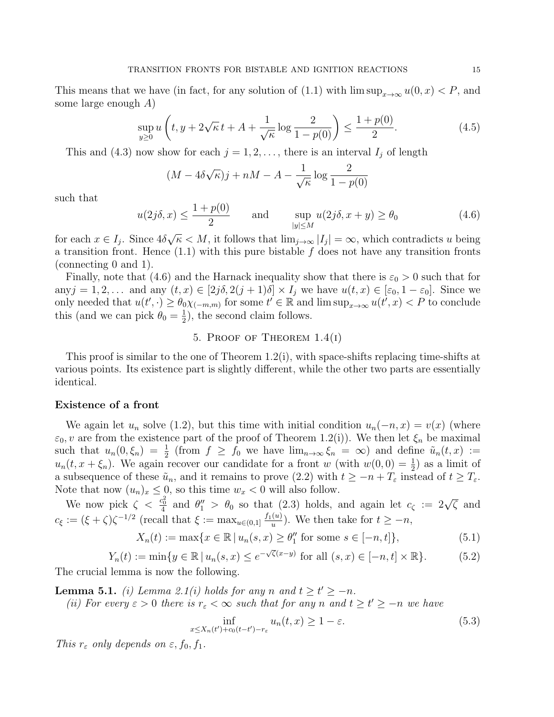This means that we have (in fact, for any solution of (1.1) with  $\limsup_{x\to\infty}u(0,x) < P$ , and some large enough A)

$$
\sup_{y\geq 0} u\left(t, y + 2\sqrt{\kappa} \, t + A + \frac{1}{\sqrt{\kappa}} \log \frac{2}{1 - p(0)}\right) \leq \frac{1 + p(0)}{2}.\tag{4.5}
$$

This and (4.3) now show for each  $j = 1, 2, \ldots$ , there is an interval  $I_j$  of length

$$
(M - 4\delta\sqrt{\kappa})j + nM - A - \frac{1}{\sqrt{\kappa}}\log\frac{2}{1 - p(0)}
$$

such that

$$
u(2j\delta, x) \le \frac{1 + p(0)}{2} \quad \text{and} \quad \sup_{|y| \le M} u(2j\delta, x + y) \ge \theta_0 \tag{4.6}
$$

for each  $x \in I_j$ . Since  $4\delta$  $\overline{\kappa} < M$ , it follows that  $\lim_{j\to\infty} |I_j| = \infty$ , which contradicts u being a transition front. Hence  $(1.1)$  with this pure bistable f does not have any transition fronts (connecting 0 and 1).

Finally, note that (4.6) and the Harnack inequality show that there is  $\varepsilon_0 > 0$  such that for any  $j = 1, 2, \ldots$  and any  $(t, x) \in [2j\delta, 2(j + 1)\delta] \times I_j$  we have  $u(t, x) \in [\varepsilon_0, 1 - \varepsilon_0]$ . Since we only needed that  $u(t',\cdot) \geq \theta_0 \chi_{(-m,m)}$  for some  $t' \in \mathbb{R}$  and  $\limsup_{x \to \infty} u(t',x) < P$  to conclude this (and we can pick  $\theta_0 = \frac{1}{2}$  $(\frac{1}{2})$ , the second claim follows.

# 5. PROOF OF THEOREM  $1.4(1)$

This proof is similar to the one of Theorem 1.2(i), with space-shifts replacing time-shifts at various points. Its existence part is slightly different, while the other two parts are essentially identical.

#### Existence of a front

We again let  $u_n$  solve (1.2), but this time with initial condition  $u_n(-n, x) = v(x)$  (where  $\varepsilon_0$ , v are from the existence part of the proof of Theorem 1.2(i)). We then let  $\xi_n$  be maximal such that  $u_n(0,\xi_n) = \frac{1}{2}$  (from  $f \ge f_0$  we have  $\lim_{n\to\infty} \xi_n = \infty$ ) and define  $\tilde{u}_n(t,x) :=$  $u_n(t, x + \xi_n)$ . We again recover our candidate for a front w (with  $w(0, 0) = \frac{1}{2}$ ) as a limit of a subsequence of these  $\tilde{u}_n$ , and it remains to prove (2.2) with  $t \ge -n + T_{\varepsilon}$  instead of  $t \ge T_{\varepsilon}$ . Note that now  $(u_n)_x \leq 0$ , so this time  $w_x < 0$  will also follow.

We now pick  $\zeta < \frac{c_0^2}{4}$  and  $\theta''_1 > \theta_0$  so that (2.3) holds, and again let  $c_{\zeta} := 2\sqrt{\zeta}$  and  $c_{\xi} := (\xi + \zeta)\zeta^{-1/2}$  (recall that  $\xi := \max_{u \in (0,1]} \frac{f_1(u)}{u}$  $\frac{u}{u}$ ). We then take for  $t \geq -n$ ,

$$
X_n(t) := \max\{x \in \mathbb{R} \, | \, u_n(s, x) \ge \theta_1'' \text{ for some } s \in [-n, t] \},\tag{5.1}
$$

$$
Y_n(t) := \min\{y \in \mathbb{R} \, | \, u_n(s, x) \le e^{-\sqrt{\zeta}(x-y)} \text{ for all } (s, x) \in [-n, t] \times \mathbb{R}\}. \tag{5.2}
$$

The crucial lemma is now the following.

**Lemma 5.1.** (i) Lemma 2.1(i) holds for any n and  $t \ge t' \ge -n$ .

(ii) For every  $\varepsilon > 0$  there is  $r_{\varepsilon} < \infty$  such that for any n and  $t \ge t' \ge -n$  we have

$$
\inf_{x \le X_n(t') + c_0(t - t') - r_\varepsilon} u_n(t, x) \ge 1 - \varepsilon. \tag{5.3}
$$

This  $r_{\varepsilon}$  only depends on  $\varepsilon$ ,  $f_0$ ,  $f_1$ .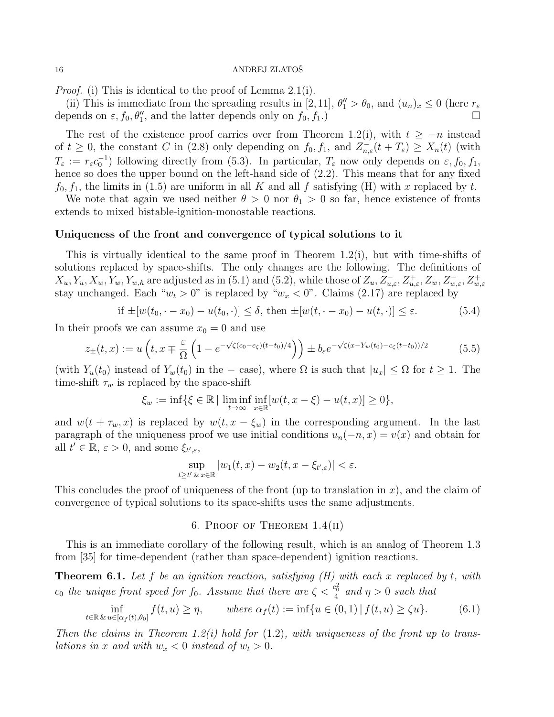Proof. (i) This is identical to the proof of Lemma 2.1(i).

(ii) This is immediate from the spreading results in [2,11],  $\theta''_1 > \theta_0$ , and  $(u_n)_x \leq 0$  (here  $r_\varepsilon$ depends on  $\varepsilon$ ,  $f_0$ ,  $\theta''_1$ , and the latter depends only on  $f_0$ ,  $f_1$ .)

The rest of the existence proof carries over from Theorem 1.2(i), with  $t \geq -n$  instead of  $t \geq 0$ , the constant C in (2.8) only depending on  $f_0, f_1$ , and  $Z_{n,\varepsilon}^-(t+T_\varepsilon) \geq X_n(t)$  (with  $T_{\varepsilon} := r_{\varepsilon} c_0^{-1}$  following directly from (5.3). In particular,  $T_{\varepsilon}$  now only depends on  $\varepsilon, f_0, f_1$ , hence so does the upper bound on the left-hand side of  $(2.2)$ . This means that for any fixed  $f_0, f_1$ , the limits in (1.5) are uniform in all K and all f satisfying (H) with x replaced by t.

We note that again we used neither  $\theta > 0$  nor  $\theta_1 > 0$  so far, hence existence of fronts extends to mixed bistable-ignition-monostable reactions.

## Uniqueness of the front and convergence of typical solutions to it

This is virtually identical to the same proof in Theorem  $1.2(i)$ , but with time-shifts of solutions replaced by space-shifts. The only changes are the following. The definitions of  $X_u, Y_u, X_w, Y_w, Y_{w,h}$  are adjusted as in (5.1) and (5.2), while those of  $Z_u, Z_{u,\varepsilon}^-, Z_{u,\varepsilon}^+, Z_w, Z_{w,\varepsilon}^-, Z_{w,\varepsilon}^+$ stay unchanged. Each " $w_t > 0$ " is replaced by " $w_x < 0$ ". Claims (2.17) are replaced by

if 
$$
\pm[w(t_0, \cdot - x_0) - u(t_0, \cdot)] \le \delta
$$
, then  $\pm[w(t, \cdot - x_0) - u(t, \cdot)] \le \varepsilon$ . (5.4)

In their proofs we can assume  $x_0 = 0$  and use

$$
z_{\pm}(t,x) := u\left(t, x \mp \frac{\varepsilon}{\Omega} \left(1 - e^{-\sqrt{\zeta}(c_0 - c_{\zeta})(t - t_0)/4}\right)\right) \pm b_{\varepsilon} e^{-\sqrt{\zeta}(x - Y_w(t_0) - c_{\zeta}(t - t_0))/2}
$$
(5.5)

(with  $Y_u(t_0)$  instead of  $Y_w(t_0)$  in the – case), where  $\Omega$  is such that  $|u_x| \leq \Omega$  for  $t \geq 1$ . The time-shift  $\tau_w$  is replaced by the space-shift

$$
\xi_w := \inf \{ \xi \in \mathbb{R} \mid \liminf_{t \to \infty} \inf_{x \in \mathbb{R}} [w(t, x - \xi) - u(t, x)] \ge 0 \},\
$$

and  $w(t + \tau_w, x)$  is replaced by  $w(t, x - \xi_w)$  in the corresponding argument. In the last paragraph of the uniqueness proof we use initial conditions  $u_n(-n, x) = v(x)$  and obtain for all  $t' \in \mathbb{R}, \, \varepsilon > 0$ , and some  $\xi_{t',\varepsilon}$ ,

$$
\sup_{t\geq t'}\sup_{x\in\mathbb{R}}|w_1(t,x)-w_2(t,x-\xi_{t',\varepsilon})|<\varepsilon.
$$

This concludes the proof of uniqueness of the front (up to translation in  $x$ ), and the claim of convergence of typical solutions to its space-shifts uses the same adjustments.

## 6. PROOF OF THEOREM  $1.4(II)$

This is an immediate corollary of the following result, which is an analog of Theorem 1.3 from [35] for time-dependent (rather than space-dependent) ignition reactions.

**Theorem 6.1.** Let f be an ignition reaction, satisfying  $(H)$  with each x replaced by t, with  $c_0$  the unique front speed for  $f_0$ . Assume that there are  $\zeta < \frac{c_0^2}{4}$  and  $\eta > 0$  such that

$$
\inf_{t \in \mathbb{R} \& u \in [\alpha_f(t), \theta_0]} f(t, u) \ge \eta, \qquad \text{where } \alpha_f(t) := \inf \{ u \in (0, 1) \mid f(t, u) \ge \zeta u \}. \tag{6.1}
$$

Then the claims in Theorem 1.2(i) hold for  $(1.2)$ , with uniqueness of the front up to translations in x and with  $w_x < 0$  instead of  $w_t > 0$ .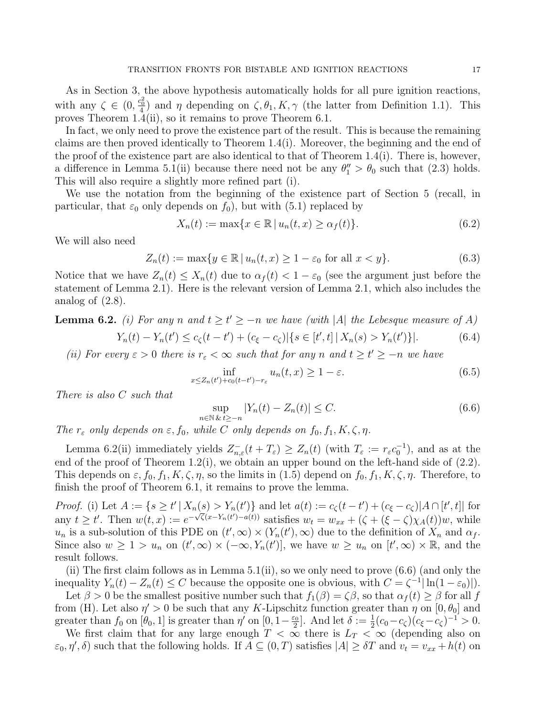As in Section 3, the above hypothesis automatically holds for all pure ignition reactions, with any  $\zeta \in (0, \frac{c_0^2}{4})$  and  $\eta$  depending on  $\zeta, \theta_1, K, \gamma$  (the latter from Definition 1.1). This proves Theorem 1.4(ii), so it remains to prove Theorem 6.1.

In fact, we only need to prove the existence part of the result. This is because the remaining claims are then proved identically to Theorem 1.4(i). Moreover, the beginning and the end of the proof of the existence part are also identical to that of Theorem 1.4(i). There is, however, a difference in Lemma 5.1(ii) because there need not be any  $\theta''_1 > \theta_0$  such that (2.3) holds. This will also require a slightly more refined part (i).

We use the notation from the beginning of the existence part of Section 5 (recall, in particular, that  $\varepsilon_0$  only depends on  $f_0$ , but with (5.1) replaced by

$$
X_n(t) := \max\{x \in \mathbb{R} \mid u_n(t, x) \ge \alpha_f(t)\}.
$$
\n
$$
(6.2)
$$

We will also need

$$
Z_n(t) := \max\{y \in \mathbb{R} \mid u_n(t, x) \ge 1 - \varepsilon_0 \text{ for all } x < y\}. \tag{6.3}
$$

Notice that we have  $Z_n(t) \leq X_n(t)$  due to  $\alpha_f(t) < 1 - \varepsilon_0$  (see the argument just before the statement of Lemma 2.1). Here is the relevant version of Lemma 2.1, which also includes the analog of (2.8).

**Lemma 6.2.** (i) For any n and  $t \ge t' \ge -n$  we have (with |A| the Lebesque measure of A)

$$
Y_n(t) - Y_n(t') \le c_\zeta(t - t') + (c_\xi - c_\zeta) |\{ s \in [t', t] \, | \, X_n(s) > Y_n(t') \}|. \tag{6.4}
$$

(ii) For every  $\varepsilon > 0$  there is  $r_{\varepsilon} < \infty$  such that for any n and  $t \ge t' \ge -n$  we have

$$
\inf_{x \le Z_n(t') + c_0(t - t') - r_\varepsilon} u_n(t, x) \ge 1 - \varepsilon. \tag{6.5}
$$

There is also C such that

$$
\sup_{n \in \mathbb{N}} |Y_n(t) - Z_n(t)| \le C. \tag{6.6}
$$

The  $r_{\varepsilon}$  only depends on  $\varepsilon$ ,  $f_0$ , while C only depends on  $f_0$ ,  $f_1$ ,  $K$ ,  $\zeta$ ,  $\eta$ .

Lemma 6.2(ii) immediately yields  $Z_{n,\varepsilon}^-(t+T_\varepsilon) \geq Z_n(t)$  (with  $T_\varepsilon := r_\varepsilon c_0^{-1}$ ), and as at the end of the proof of Theorem 1.2(i), we obtain an upper bound on the left-hand side of (2.2). This depends on  $\varepsilon$ ,  $f_0$ ,  $f_1$ ,  $K$ ,  $\zeta$ ,  $\eta$ , so the limits in (1.5) depend on  $f_0$ ,  $f_1$ ,  $K$ ,  $\zeta$ ,  $\eta$ . Therefore, to finish the proof of Theorem 6.1, it remains to prove the lemma.

*Proof.* (i) Let  $A := \{ s \ge t' \mid X_n(s) > Y_n(t') \}$  and let  $a(t) := c_{\zeta}(t-t') + (c_{\xi} - c_{\zeta}) |A \cap [t',t]|$  for any  $t \ge t'$ . Then  $w(t, x) := e^{-\sqrt{\zeta(x-Y_n(t')-a(t))}}$  satisfies  $w_t = w_{xx} + (\zeta + (\xi - \zeta)\chi_A(t))w$ , while  $u_n$  is a sub-solution of this PDE on  $(t', \infty) \times (Y_n(t'), \infty)$  due to the definition of  $X_n$  and  $\alpha_f$ . Since also  $w \geq 1 > u_n$  on  $(t', \infty) \times (-\infty, Y_n(t')]$ , we have  $w \geq u_n$  on  $(t', \infty) \times \mathbb{R}$ , and the result follows.

(ii) The first claim follows as in Lemma  $5.1(ii)$ , so we only need to prove  $(6.6)$  (and only the inequality  $Y_n(t) - Z_n(t) \leq C$  because the opposite one is obvious, with  $C = \zeta^{-1} |\ln(1 - \varepsilon_0)|$ .

Let  $\beta > 0$  be the smallest positive number such that  $f_1(\beta) = \zeta \beta$ , so that  $\alpha_f(t) \geq \beta$  for all f from (H). Let also  $\eta' > 0$  be such that any K-Lipschitz function greater than  $\eta$  on  $[0, \theta_0]$  and greater than  $f_0$  on  $[\theta_0, 1]$  is greater than  $\eta'$  on  $[0, 1-\frac{\varepsilon_0}{2}]$  $\frac{\varepsilon_0}{2}$ . And let  $\delta := \frac{1}{2}(c_0 - c_{\zeta})(c_{\xi} - c_{\zeta})^{-1} > 0.$ 

We first claim that for any large enough  $T < \infty$  there is  $L_T < \infty$  (depending also on  $\varepsilon_0, \eta', \delta$  such that the following holds. If  $A \subseteq (0, T)$  satisfies  $|A| \geq \delta T$  and  $v_t = v_{xx} + h(t)$  on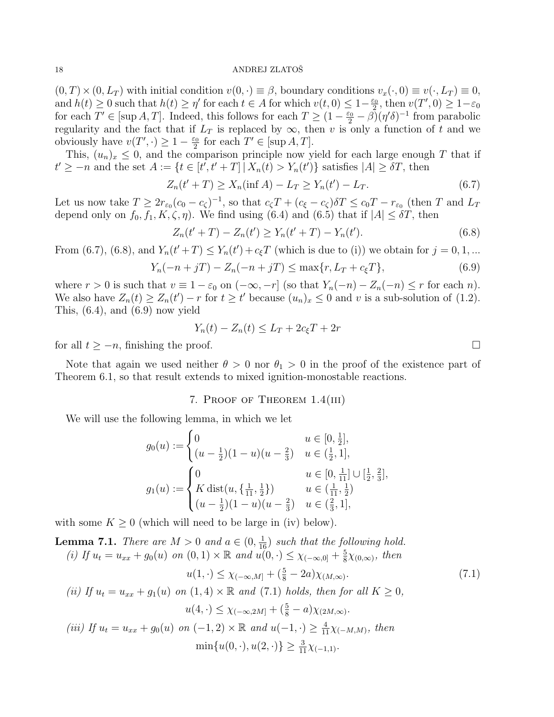$(0, T) \times (0, L_T )$  with initial condition  $v(0, \cdot) \equiv \beta$ , boundary conditions  $v_x(\cdot, 0) \equiv v(\cdot, L_T ) \equiv 0$ , and  $h(t) \geq 0$  such that  $h(t) \geq \eta'$  for each  $t \in A$  for which  $v(t, 0) \leq 1-\frac{\varepsilon_0}{2}$  $\frac{\varepsilon_0}{2}$ , then  $v(T', 0) \geq 1 - \varepsilon_0$ for each  $T' \in [\sup A, T]$ . Indeed, this follows for each  $T \geq (1 - \frac{\varepsilon_0}{2} - \beta)(\eta' \delta)^{-1}$  from parabolic regularity and the fact that if  $L_T$  is replaced by  $\infty$ , then v is only a function of t and we obviously have  $v(T', \cdot) \geq 1 - \frac{\varepsilon_0}{2}$  $\frac{z_0}{2}$  for each  $T' \in [\sup A, T]$ .

This,  $(u_n)_x \leq 0$ , and the comparison principle now yield for each large enough T that if  $t' \geq -n$  and the set  $A := \{t \in [t', t' + T] | X_n(t) > Y_n(t')\}$  satisfies  $|A| \geq \delta T$ , then

$$
Z_n(t' + T) \ge X_n(\inf A) - L_T \ge Y_n(t') - L_T.
$$
\n(6.7)

Let us now take  $T \geq 2r_{\epsilon_0}(c_0-c_\zeta)^{-1}$ , so that  $c_\zeta T + (c_\xi - c_\zeta)\delta T \leq c_0T - r_{\epsilon_0}$  (then T and  $L_T$ depend only on  $f_0, f_1, K, \zeta, \eta$ . We find using (6.4) and (6.5) that if  $|A| \leq \delta T$ , then

$$
Z_n(t'+T) - Z_n(t') \ge Y_n(t'+T) - Y_n(t').
$$
\n(6.8)

From (6.7), (6.8), and  $Y_n(t'+T) \le Y_n(t') + c_{\xi}T$  (which is due to (i)) we obtain for  $j = 0, 1, ...$ 

$$
Y_n(-n+jT) - Z_n(-n+jT) \le \max\{r, L_T + c_{\xi}T\},\tag{6.9}
$$

where  $r > 0$  is such that  $v \equiv 1 - \varepsilon_0$  on  $(-\infty, -r]$  (so that  $Y_n(-n) - Z_n(-n) \le r$  for each n). We also have  $Z_n(t) \ge Z_n(t') - r$  for  $t \ge t'$  because  $(u_n)_x \le 0$  and v is a sub-solution of (1.2). This,  $(6.4)$ , and  $(6.9)$  now yield

$$
Y_n(t) - Z_n(t) \le L_T + 2c_{\xi}T + 2r
$$

for all  $t \geq -n$ , finishing the proof.

Note that again we used neither  $\theta > 0$  nor  $\theta_1 > 0$  in the proof of the existence part of Theorem 6.1, so that result extends to mixed ignition-monostable reactions.

# 7. Proof of Theorem 1.4(iii)

We will use the following lemma, in which we let

$$
g_0(u) := \begin{cases} 0 & u \in [0, \frac{1}{2}], \\ (u - \frac{1}{2})(1 - u)(u - \frac{2}{3}) & u \in (\frac{1}{2}, 1], \\ g_1(u) := \begin{cases} 0 & u \in [0, \frac{1}{11}] \cup [\frac{1}{2}, \frac{2}{3}], \\ K \operatorname{dist}(u, \{\frac{1}{11}, \frac{1}{2}\}) & u \in (\frac{1}{11}, \frac{1}{2}) \\ (u - \frac{1}{2})(1 - u)(u - \frac{2}{3}) & u \in (\frac{2}{3}, 1], \end{cases}
$$

with some  $K \geq 0$  (which will need to be large in (iv) below).

**Lemma 7.1.** There are  $M > 0$  and  $a \in (0, \frac{1}{16})$  such that the following hold. (i) If  $u_t = u_{xx} + g_0(u)$  on  $(0,1) \times \mathbb{R}$  and  $u(0, \cdot) \leq \chi_{(-\infty,0]} + \frac{5}{8}$  $\frac{5}{8}\chi_{(0,\infty)}$ , then  $u(1, \cdot)$ 

$$
u(1, \cdot) \le \chi_{(-\infty, M]} + (\frac{5}{8} - 2a)\chi_{(M, \infty)}.
$$
\n(7.1)

(ii) If 
$$
u_t = u_{xx} + g_1(u)
$$
 on  $(1, 4) \times \mathbb{R}$  and  $(7.1)$  holds, then for all  $K \ge 0$ ,  

$$
u(4, \cdot) \le \chi_{(-\infty, 2M]} + (\frac{5}{8} - a) \chi_{(2M, \infty)}.
$$

(iii) If 
$$
u_t = u_{xx} + g_0(u)
$$
 on  $(-1, 2) \times \mathbb{R}$  and  $u(-1, \cdot) \ge \frac{4}{11} \chi_{(-M,M)}$ , then  
\n
$$
\min\{u(0, \cdot), u(2, \cdot)\} \ge \frac{3}{11} \chi_{(-1,1)}.
$$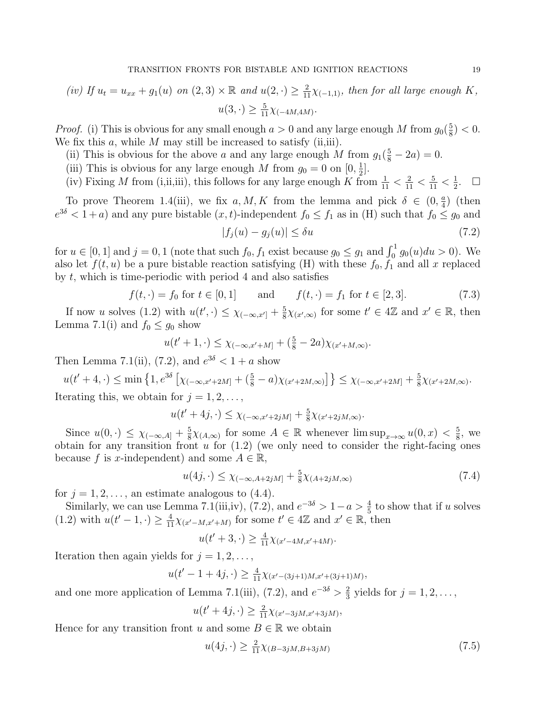(iv) If 
$$
u_t = u_{xx} + g_1(u)
$$
 on  $(2,3) \times \mathbb{R}$  and  $u(2,\cdot) \geq \frac{2}{11}\chi_{(-1,1)}$ , then for all large enough K,  
 $u(3,\cdot) \geq \frac{5}{11}\chi_{(-4M,4M)}$ .

*Proof.* (i) This is obvious for any small enough  $a > 0$  and any large enough M from  $g_0(\frac{5}{8})$  $(\frac{5}{8})$  < 0. We fix this  $a$ , while  $M$  may still be increased to satisfy (ii,iii).

- (ii) This is obvious for the above a and any large enough M from  $g_1(\frac{5}{8} 2a) = 0$ .
- (iii) This is obvious for any large enough M from  $g_0 = 0$  on  $[0, \frac{1}{2}]$  $\frac{1}{2}$ .
- (iv) Fixing M from (i,ii,iii), this follows for any large enough K from  $\frac{1}{11} < \frac{2}{11} < \frac{5}{11} < \frac{1}{2}$  $\frac{1}{2}$ .  $\Box$

To prove Theorem 1.4(iii), we fix  $a, M, K$  from the lemma and pick  $\delta \in (0, \frac{a}{4})$  $\frac{a}{4}$ ) (then  $e^{3\delta} < 1 + a$ ) and any pure bistable  $(x, t)$ -independent  $f_0 \le f_1$  as in (H) such that  $f_0 \le g_0$  and

$$
|f_j(u) - g_j(u)| \le \delta u \tag{7.2}
$$

for  $u \in [0, 1]$  and  $j = 0, 1$  (note that such  $f_0, f_1$  exist because  $g_0 \leq g_1$  and  $\int_0^1 g_0(u) du > 0$ ). We also let  $f(t, u)$  be a pure bistable reaction satisfying (H) with these  $f_0, f_1$  and all x replaced by t, which is time-periodic with period 4 and also satisfies

$$
f(t, \cdot) = f_0 \text{ for } t \in [0, 1] \quad \text{and} \quad f(t, \cdot) = f_1 \text{ for } t \in [2, 3]. \tag{7.3}
$$

If now u solves (1.2) with  $u(t', \cdot) \leq \chi_{(-\infty, x']} + \frac{5}{8}$  $\frac{5}{8}\chi_{(x',\infty)}$  for some  $t' \in 4\mathbb{Z}$  and  $x' \in \mathbb{R}$ , then Lemma 7.1(i) and  $f_0 \leq g_0$  show

$$
u(t'+1,\cdot) \leq \chi_{(-\infty,x'+M]} + (\frac{5}{8} - 2a)\chi_{(x'+M,\infty)}.
$$

Then Lemma 7.1(ii), (7.2), and  $e^{3\delta} < 1 + a$  show

$$
u(t'+4,\cdot) \le \min\left\{1, e^{3\delta}\left[\chi_{(-\infty,x'+2M]} + \left(\frac{5}{8} - a\right)\chi_{(x'+2M,\infty)}\right]\right\} \le \chi_{(-\infty,x'+2M]} + \frac{5}{8}\chi_{(x'+2M,\infty)}.
$$
 Iterating this, we obtain for  $j = 1, 2, \ldots$ ,

$$
u(t'+4j,\cdot)\leq \chi_{(-\infty,x'+2jM]}+\tfrac{5}{8}\chi_{(x'+2jM,\infty)}.
$$

Since  $u(0, \cdot) \leq \chi_{(-\infty, A]} + \frac{5}{8}$  $\frac{5}{8}\chi_{(A,\infty)}$  for some  $A \in \mathbb{R}$  whenever  $\limsup_{x\to\infty} u(0,x) < \frac{5}{8}$  $\frac{5}{8}$ , we obtain for any transition front  $u$  for  $(1.2)$  (we only need to consider the right-facing ones because f is x-independent) and some  $A \in \mathbb{R}$ ,

$$
u(4j, \cdot) \le \chi_{(-\infty, A+2jM]} + \frac{5}{8}\chi_{(A+2jM,\infty)}
$$
\n(7.4)

for  $j = 1, 2, \ldots$ , an estimate analogous to (4.4).

Similarly, we can use Lemma 7.1(iii,iv), (7.2), and  $e^{-3\delta} > 1 - a > \frac{4}{5}$  to show that if u solves (1.2) with  $u(t'-1, \cdot) \geq \frac{4}{11}\chi_{(x'-M,x'+M)}$  for some  $t' \in 4\mathbb{Z}$  and  $x' \in \mathbb{R}$ , then

$$
u(t'+3,\cdot) \ge \frac{4}{11}\chi_{(x'-4M,x'+4M)}.
$$

Iteration then again yields for  $j = 1, 2, \ldots$ ,

$$
u(t'-1+4j,\cdot) \ge \frac{4}{11}\chi_{(x'-(3j+1)M,x'+(3j+1)M)},
$$

and one more application of Lemma 7.1(iii), (7.2), and  $e^{-3\delta} > \frac{2}{3}$  $\frac{2}{3}$  yields for  $j = 1, 2, \ldots$ ,

$$
u(t'+4j,\cdot) \ge \frac{2}{11}\chi_{(x'-3jM,x'+3jM)},
$$

Hence for any transition front u and some  $B \in \mathbb{R}$  we obtain

$$
u(4j, \cdot) \ge \frac{2}{11} \chi_{(B-3jM, B+3jM)} \tag{7.5}
$$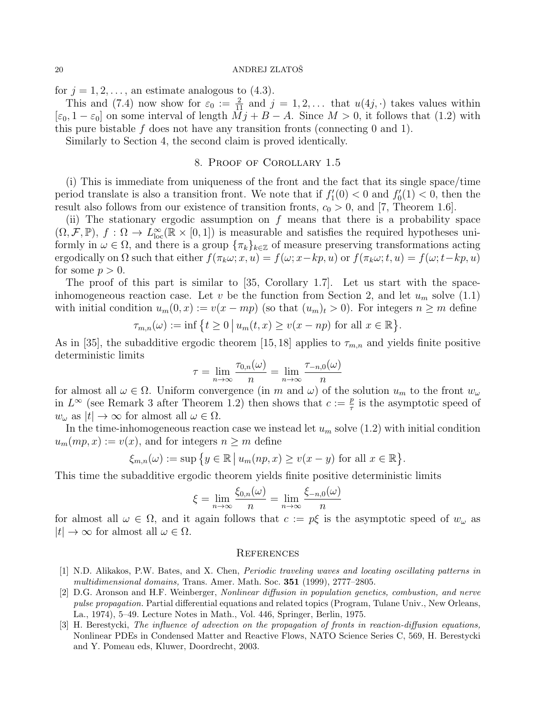for  $j = 1, 2, \ldots$ , an estimate analogous to  $(4.3)$ .

This and (7.4) now show for  $\varepsilon_0 := \frac{2}{11}$  and  $j = 1, 2, \ldots$  that  $u(4j, \cdot)$  takes values within  $[\varepsilon_0, 1 - \varepsilon_0]$  on some interval of length  $Mj + B - A$ . Since  $M > 0$ , it follows that (1.2) with this pure bistable f does not have any transition fronts (connecting  $0$  and  $1$ ).

Similarly to Section 4, the second claim is proved identically.

# 8. Proof of Corollary 1.5

(i) This is immediate from uniqueness of the front and the fact that its single space/time period translate is also a transition front. We note that if  $f_1'(0) < 0$  and  $f_0'(1) < 0$ , then the result also follows from our existence of transition fronts,  $c_0 > 0$ , and [7, Theorem 1.6].

(ii) The stationary ergodic assumption on  $f$  means that there is a probability space  $(\Omega, \mathcal{F}, \mathbb{P}), f : \Omega \to L^{\infty}_{loc}(\mathbb{R} \times [0,1])$  is measurable and satisfies the required hypotheses uniformly in  $\omega \in \Omega$ , and there is a group  $\{\pi_k\}_{k\in\mathbb{Z}}$  of measure preserving transformations acting ergodically on  $\Omega$  such that either  $f(\pi_k \omega; x, u) = f(\omega; x - kp, u)$  or  $f(\pi_k \omega; t, u) = f(\omega; t - kp, u)$ for some  $p > 0$ .

The proof of this part is similar to [35, Corollary 1.7]. Let us start with the spaceinhomogeneous reaction case. Let v be the function from Section 2, and let  $u_m$  solve (1.1) with initial condition  $u_m(0, x) := v(x - mp)$  (so that  $(u_m)_t > 0$ ). For integers  $n \geq m$  define

$$
\tau_{m,n}(\omega) := \inf \left\{ t \ge 0 \, \big| \, u_m(t,x) \ge v(x - np) \text{ for all } x \in \mathbb{R} \right\}.
$$

As in [35], the subadditive ergodic theorem [15, 18] applies to  $\tau_{m,n}$  and yields finite positive deterministic limits

$$
\tau = \lim_{n \to \infty} \frac{\tau_{0,n}(\omega)}{n} = \lim_{n \to \infty} \frac{\tau_{-n,0}(\omega)}{n}
$$

for almost all  $\omega \in \Omega$ . Uniform convergence (in m and  $\omega$ ) of the solution  $u_m$  to the front  $w_\omega$ in  $L^{\infty}$  (see Remark 3 after Theorem 1.2) then shows that  $c := \frac{p}{\tau}$  $\frac{p}{\tau}$  is the asymptotic speed of  $w_{\omega}$  as  $|t| \to \infty$  for almost all  $\omega \in \Omega$ .

In the time-inhomogeneous reaction case we instead let  $u_m$  solve (1.2) with initial condition  $u_m(mp,x) := v(x)$ , and for integers  $n \geq m$  define

$$
\xi_{m,n}(\omega) := \sup \{ y \in \mathbb{R} \mid u_m(np, x) \ge v(x - y) \text{ for all } x \in \mathbb{R} \}.
$$

This time the subadditive ergodic theorem yields finite positive deterministic limits

$$
\xi = \lim_{n \to \infty} \frac{\xi_{0,n}(\omega)}{n} = \lim_{n \to \infty} \frac{\xi_{-n,0}(\omega)}{n}
$$

for almost all  $\omega \in \Omega$ , and it again follows that  $c := p\xi$  is the asymptotic speed of  $w_{\omega}$  as  $|t| \to \infty$  for almost all  $\omega \in \Omega$ .

#### **REFERENCES**

- [1] N.D. Alikakos, P.W. Bates, and X. Chen, Periodic traveling waves and locating oscillating patterns in multidimensional domains, Trans. Amer. Math. Soc. 351 (1999), 2777-2805.
- [2] D.G. Aronson and H.F. Weinberger, Nonlinear diffusion in population genetics, combustion, and nerve pulse propagation. Partial differential equations and related topics (Program, Tulane Univ., New Orleans, La., 1974), 5–49. Lecture Notes in Math., Vol. 446, Springer, Berlin, 1975.
- [3] H. Berestycki, The influence of advection on the propagation of fronts in reaction-diffusion equations, Nonlinear PDEs in Condensed Matter and Reactive Flows, NATO Science Series C, 569, H. Berestycki and Y. Pomeau eds, Kluwer, Doordrecht, 2003.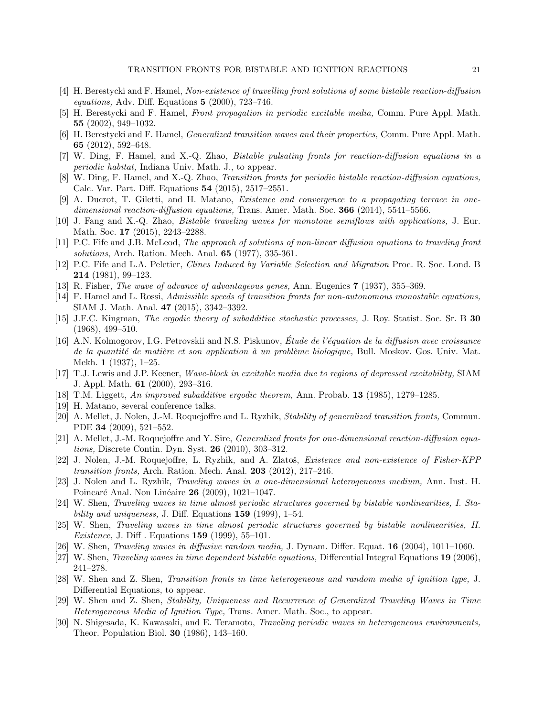- [4] H. Berestycki and F. Hamel, Non-existence of travelling front solutions of some bistable reaction-diffusion equations, Adv. Diff. Equations  $5$  (2000), 723–746.
- [5] H. Berestycki and F. Hamel, Front propagation in periodic excitable media, Comm. Pure Appl. Math. 55 (2002), 949–1032.
- [6] H. Berestycki and F. Hamel, Generalized transition waves and their properties, Comm. Pure Appl. Math. 65 (2012), 592–648.
- [7] W. Ding, F. Hamel, and X.-Q. Zhao, Bistable pulsating fronts for reaction-diffusion equations in a periodic habitat, Indiana Univ. Math. J., to appear.
- [8] W. Ding, F. Hamel, and X.-Q. Zhao, Transition fronts for periodic bistable reaction-diffusion equations, Calc. Var. Part. Diff. Equations 54 (2015), 2517–2551.
- [9] A. Ducrot, T. Giletti, and H. Matano, Existence and convergence to a propagating terrace in onedimensional reaction-diffusion equations, Trans. Amer. Math. Soc. 366 (2014), 5541–5566.
- [10] J. Fang and X.-Q. Zhao, Bistable traveling waves for monotone semiflows with applications, J. Eur. Math. Soc. 17 (2015), 2243–2288.
- [11] P.C. Fife and J.B. McLeod, The approach of solutions of non-linear diffusion equations to traveling front solutions, Arch. Ration. Mech. Anal. **65** (1977), 335-361.
- [12] P.C. Fife and L.A. Peletier, Clines Induced by Variable Selection and Migration Proc. R. Soc. Lond. B 214 (1981), 99–123.
- [13] R. Fisher, The wave of advance of advantageous genes, Ann. Eugenics 7 (1937), 355–369.
- [14] F. Hamel and L. Rossi, Admissible speeds of transition fronts for non-autonomous monostable equations, SIAM J. Math. Anal. 47 (2015), 3342–3392.
- [15] J.F.C. Kingman, The ergodic theory of subadditive stochastic processes, J. Roy. Statist. Soc. Sr. B 30 (1968), 499–510.
- [16] A.N. Kolmogorov, I.G. Petrovskii and N.S. Piskunov, Etude de l'équation de la diffusion avec croissance de la quantité de matière et son application à un problème biologique, Bull. Moskov. Gos. Univ. Mat. Mekh. 1 (1937), 1–25.
- [17] T.J. Lewis and J.P. Keener, Wave-block in excitable media due to regions of depressed excitability, SIAM J. Appl. Math. 61 (2000), 293–316.
- [18] T.M. Liggett, An improved subadditive ergodic theorem, Ann. Probab. 13 (1985), 1279-1285.
- [19] H. Matano, several conference talks.
- [20] A. Mellet, J. Nolen, J.-M. Roquejoffre and L. Ryzhik, Stability of generalized transition fronts, Commun. PDE 34 (2009), 521–552.
- [21] A. Mellet, J.-M. Roquejoffre and Y. Sire, *Generalized fronts for one-dimensional reaction-diffusion equa*tions, Discrete Contin. Dyn. Syst. 26 (2010), 303–312.
- [22] J. Nolen, J.-M. Roquejoffre, L. Ryzhik, and A. Zlatoš, Existence and non-existence of Fisher-KPP transition fronts, Arch. Ration. Mech. Anal. 203 (2012), 217–246.
- [23] J. Nolen and L. Ryzhik, Traveling waves in a one-dimensional heterogeneous medium, Ann. Inst. H. Poincaré Anal. Non Linéaire 26 (2009), 1021–1047.
- [24] W. Shen, Traveling waves in time almost periodic structures governed by bistable nonlinearities, I. Stability and uniqueness, J. Diff. Equations  $159$  (1999), 1–54.
- [25] W. Shen, Traveling waves in time almost periodic structures governed by bistable nonlinearities, II. *Existence*, J. Diff. Equations  $159$  (1999),  $55-101$ .
- [26] W. Shen, Traveling waves in diffusive random media, J. Dynam. Differ. Equat. 16 (2004), 1011–1060.
- [27] W. Shen, *Traveling waves in time dependent bistable equations*, Differential Integral Equations 19 (2006), 241–278.
- [28] W. Shen and Z. Shen, Transition fronts in time heterogeneous and random media of ignition type, J. Differential Equations, to appear.
- [29] W. Shen and Z. Shen, Stability, Uniqueness and Recurrence of Generalized Traveling Waves in Time Heterogeneous Media of Ignition Type, Trans. Amer. Math. Soc., to appear.
- [30] N. Shigesada, K. Kawasaki, and E. Teramoto, Traveling periodic waves in heterogeneous environments, Theor. Population Biol. 30 (1986), 143–160.